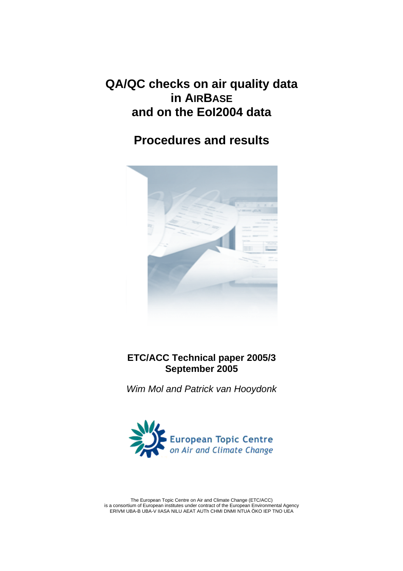# **QA/QC checks on air quality data in AIRBASE and on the EoI2004 data**

# **Procedures and results**



## **ETC/ACC Technical paper 2005/3 September 2005**

*Wim Mol and Patrick van Hooydonk* 



The European Topic Centre on Air and Climate Change (ETC/ACC) is a consortium of European institutes under contract of the European Environmental Agency ERIVM UBA-B UBA-V IIASA NILU AEAT AUTh CHMI DNMI NTUA ÖKO IEP TNO UEA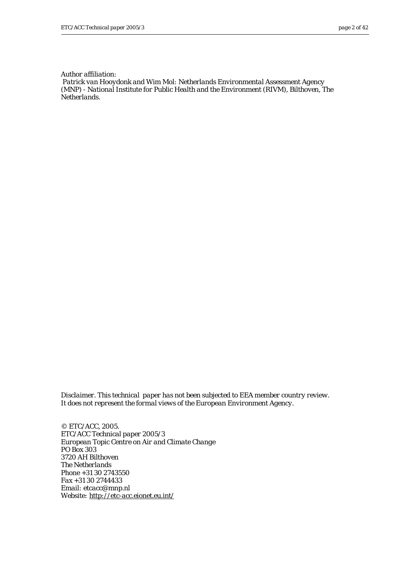*Author affiliation:* 

 *Patrick van Hooydonk and Wim Mol: Netherlands Environmental Assessment Agency (MNP) - National Institute for Public Health and the Environment (RIVM), Bilthoven, The Netherlands.* 

*Disclaimer. This technical paper has not been subjected to EEA member country review. It does not represent the formal views of the European Environment Agency.* 

*© ETC/ACC, 2005. ETC/ACC Technical paper 2005/3 European Topic Centre on Air and Climate Change PO Box 303 3720 AH Bilthoven The Netherlands Phone +31 30 2743550 Fax +31 30 2744433 Email: etcacc@mnp.nl Website: <http://etc-acc.eionet.eu.int/>*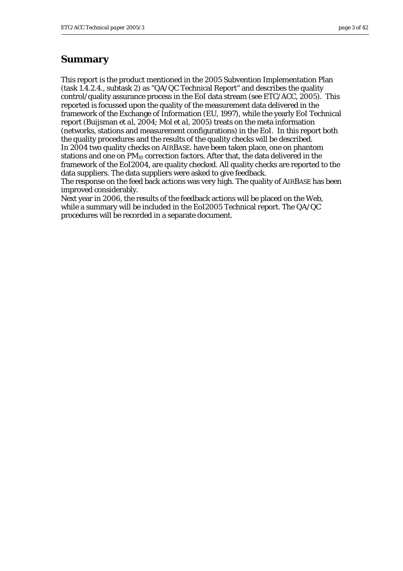#### **Summary**

This report is the product mentioned in the 2005 Subvention Implementation Plan (task 1.4.2.4., subtask 2) as "QA/QC Technical Report" and describes the quality control/quality assurance process in the EoI data stream (see ETC/ACC, 2005). This reported is focussed upon the quality of the measurement data delivered in the framework of the Exchange of Information (EU, 1997), while the yearly EoI Technical report (Buijsman *et al,* 2004; Mol *et al,* 2005) treats on the meta information (networks, stations and measurement configurations) in the EoI. In this report both the quality procedures and the results of the quality checks will be described. In 2004 two quality checks on AIRBASE. have been taken place, one on phantom stations and one on PM<sub>10</sub> correction factors. After that, the data delivered in the framework of the EoI2004, are quality checked. All quality checks are reported to the data suppliers. The data suppliers were asked to give feedback.

The response on the feed back actions was very high. The quality of AIRBASE has been improved considerably.

Next year in 2006, the results of the feedback actions will be placed on the Web, while a summary will be included in the EoI2005 Technical report. The QA/QC procedures will be recorded in a separate document.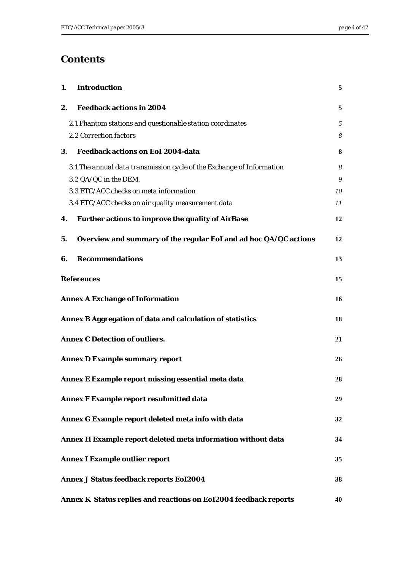## **Contents**

| 1. | <b>Introduction</b>                                                   | 5  |
|----|-----------------------------------------------------------------------|----|
| 2. | <b>Feedback actions in 2004</b>                                       | 5  |
|    | 2.1 Phantom stations and questionable station coordinates             | 5  |
|    | 2.2 Correction factors                                                | 8  |
| 3. | <b>Feedback actions on EoI 2004-data</b>                              | 8  |
|    | 3.1 The annual data transmission cycle of the Exchange of Information | 8  |
|    | 3.2 QA/QC in the DEM.                                                 | 9  |
|    | 3.3 ETC/ACC checks on meta information                                | 10 |
|    | 3.4 ETC/ACC checks on air quality measurement data                    | 11 |
| 4. | <b>Further actions to improve the quality of AirBase</b>              | 12 |
| 5. | Overview and summary of the regular EoI and ad hoc QA/QC actions      | 12 |
| 6. | <b>Recommendations</b>                                                | 13 |
|    | <b>References</b>                                                     | 15 |
|    | <b>Annex A Exchange of Information</b>                                | 16 |
|    | Annex B Aggregation of data and calculation of statistics             | 18 |
|    | <b>Annex C Detection of outliers.</b>                                 | 21 |
|    | <b>Annex D Example summary report</b>                                 | 26 |
|    | Annex E Example report missing essential meta data                    | 28 |
|    | <b>Annex F Example report resubmitted data</b>                        | 29 |
|    | Annex G Example report deleted meta info with data                    | 32 |
|    | Annex H Example report deleted meta information without data          | 34 |
|    | <b>Annex I Example outlier report</b>                                 | 35 |
|    | <b>Annex J Status feedback reports EoI2004</b>                        | 38 |
|    | Annex K Status replies and reactions on EoI2004 feedback reports      | 40 |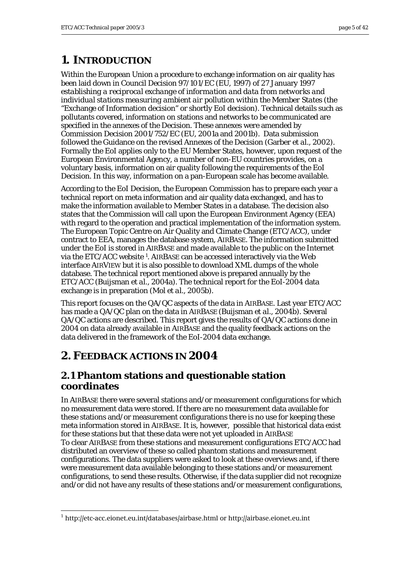# <span id="page-4-0"></span>**1. INTRODUCTION**

Within the European Union a procedure to exchange information on air quality has been laid down in Council Decision 97/101/EC (EU, 1997) of 27 January 1997 *establishing a reciprocal exchange of information and data from networks and individual stations measuring ambient air pollution within the Member States* (the "Exchange of Information decision" or shortly EoI decision). Technical details such as pollutants covered, information on stations and networks to be communicated are specified in the annexes of the Decision. These annexes were amended by Commission Decision 2001/752/EC (EU, 2001a and 2001b). Data submission followed the Guidance on the revised Annexes of the Decision (Garber *et al.*, 2002). Formally the EoI applies only to the EU Member States, however, upon request of the European Environmental Agency, a number of non-EU countries provides, on a voluntary basis, information on air quality following the requirements of the EoI Decision. In this way, information on a pan-European scale has become available.

According to the EoI Decision, the European Commission has to prepare each year a technical report on meta information and air quality data exchanged, and has to make the information available to Member States in a database. The decision also states that the Commission will call upon the European Environment Agency (EEA) with regard to the operation and practical implementation of the information system. The European Topic Centre on Air Quality and Climate Change (ETC/ACC), under contract to EEA, manages the database system, AIRBASE. The information submitted under the EoI is stored in AIRBASE and made available to the public on the Internet via the ETC/ACC website [1.](#page-4-1) AIRBASE can be accessed interactively via the Web interface AIRVIEW but it is also possible to download XML dumps of the whole database. The technical report mentioned above is prepared annually by the ETC/ACC (Buijsman *et al*., 2004a). The technical report for the EoI-2004 data exchange is in preparation (Mol *et al*., 2005b).

This report focuses on the QA/QC aspects of the data in AIRBASE. Last year ETC/ACC has made a QA/QC plan on the data in AIRBASE (Buijsman *et al*., 2004b). Several QA/QC actions are described. This report gives the results of QA/QC actions done in 2004 on data already available in AIRBASE and the quality feedback actions on the data delivered in the framework of the EoI-2004 data exchange.

# **2. FEEDBACK ACTIONS IN 2004**

## **2.1 Phantom stations and questionable station coordinates**

In AIRBASE there were several stations and/or measurement configurations for which no measurement data were stored. If there are no measurement data available for these stations and/or measurement configurations there is no use for keeping these meta information stored in AIRBASE. It is, however, possible that historical data exist for these stations but that these data were not yet uploaded in AIRBASE To clear AIRBASE from these stations and measurement configurations ETC/ACC had distributed an overview of these so called phantom stations and measurement configurations. The data suppliers were asked to look at these overviews and, if there were measurement data available belonging to these stations and/or measurement configurations, to send these results. Otherwise, if the data supplier did not recognize and/or did not have any results of these stations and/or measurement configurations,

<span id="page-4-1"></span> $\overline{a}$ <sup>1</sup> <http://etc-acc.eionet.eu.int/databases/airbase.html>or http://airbase.eionet.eu.int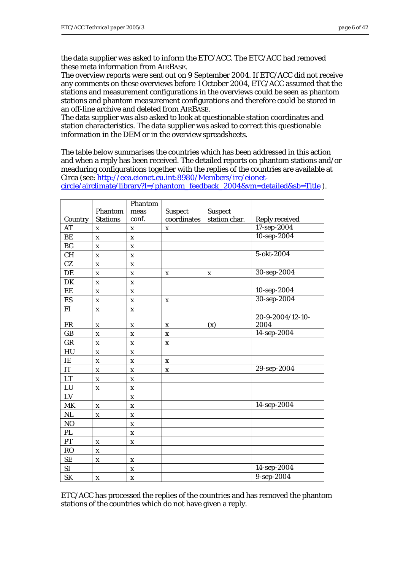the data supplier was asked to inform the ETC/ACC. The ETC/ACC had removed these meta information from AIRBASE.

The overview reports were sent out on 9 September 2004. If ETC/ACC did not receive any comments on these overviews before 1 October 2004, ETC/ACC assumed that the stations and measurement configurations in the overviews could be seen as phantom stations and phantom measurement configurations and therefore could be stored in an off-line archive and deleted from AIRBASE.

The data supplier was also asked to look at questionable station coordinates and station characteristics. The data supplier was asked to correct this questionable information in the DEM or in the overview spreadsheets.

The table below summarises the countries which has been addressed in this action and when a reply has been received. The detailed reports on phantom stations and/or meaduring configurations together with the replies of the countries are available at Circa (see: [http://eea.eionet.eu.int:8980/Members/irc/eionet-](http://eea.eionet.eu.int:8980/Members/irc/eionet-circle/airclimate/library?l=/phantom_feedback_2004&vm=detailed&sb=Title)

|                        |                           | Phantom                   |                |                |                       |
|------------------------|---------------------------|---------------------------|----------------|----------------|-----------------------|
|                        | Phantom                   | meas                      | <b>Suspect</b> | <b>Suspect</b> |                       |
| Country                | <b>Stations</b>           | conf.                     | coordinates    | station char.  | <b>Reply received</b> |
| AT                     | $\mathbf X$               | $\mathbf X$               | $\mathbf X$    |                | 17-sep-2004           |
| BE                     | $\mathbf X$               | $\mathbf X$               |                |                | 10-sep-2004           |
| BG                     | $\mathbf X$               | $\mathbf X$               |                |                |                       |
| CH                     | $\mathbf X$               | $\mathbf X$               |                |                | 5-okt-2004            |
| CZ                     | $\mathbf x$               | $\mathbf X$               |                |                |                       |
| DE                     | $\mathbf X$               | $\mathbf X$               | $\mathbf X$    | $\mathbf X$    | 30-sep-2004           |
| DK                     | $\mathbf X$               | $\mathbf X$               |                |                |                       |
| EE                     | $\mathbf X$               | $\mathbf X$               |                |                | 10-sep-2004           |
| ES                     | $\mathbf X$               | $\mathbf X$               | $\mathbf X$    |                | 30-sep-2004           |
| ${\rm FI}$             | $\mathbf X$               | $\mathbf x$               |                |                |                       |
|                        |                           |                           |                |                | 20-9-2004/12-10-      |
| ${\rm FR}$             | X                         | $\boldsymbol{\mathrm{X}}$ | $\mathbf X$    | (x)            | 2004                  |
| GB                     | $\boldsymbol{\mathrm{X}}$ | $\mathbf X$               | $\mathbf X$    |                | 14-sep-2004           |
| GR                     | $\mathbf X$               | $\mathbf X$               | $\mathbf X$    |                |                       |
| HU                     | $\boldsymbol{\mathrm{X}}$ | $\mathbf X$               |                |                |                       |
| $\rm IE$               | $\mathbf X$               | $\mathbf X$               | X              |                |                       |
| $\mathop{\mathrm{IT}}$ | $\boldsymbol{\mathrm{X}}$ | $\boldsymbol{\mathrm{X}}$ | $\mathbf X$    |                | 29-sep-2004           |
| LT                     | $\mathbf X$               | $\mathbf X$               |                |                |                       |
| LU                     | $\mathbf X$               | $\mathbf X$               |                |                |                       |
| ${\rm LV}$             |                           | $\mathbf X$               |                |                |                       |
| MK                     | $\mathbf X$               | $\mathbf X$               |                |                | 14-sep-2004           |
| NL                     | $\mathbf X$               | $\mathbf X$               |                |                |                       |
| N <sub>O</sub>         |                           | $\mathbf X$               |                |                |                       |
| PL                     |                           | $\mathbf X$               |                |                |                       |
| PT                     | $\mathbf X$               | $\mathbf X$               |                |                |                       |
| <b>RO</b>              | $\mathbf x$               |                           |                |                |                       |
| $\rm SE$               | X                         | $\mathbf X$               |                |                |                       |
| $\rm SI$               |                           | $\boldsymbol{\mathrm{X}}$ |                |                | 14-sep-2004           |
| <b>SK</b>              | $\boldsymbol{\mathrm{X}}$ | $\boldsymbol{\mathrm{X}}$ |                |                | 9-sep-2004            |

[circle/airclimate/library?l=/phantom\\_feedback\\_2004&vm=detailed&sb=Title](http://eea.eionet.eu.int:8980/Members/irc/eionet-circle/airclimate/library?l=/phantom_feedback_2004&vm=detailed&sb=Title) ).

ETC/ACC has processed the replies of the countries and has removed the phantom stations of the countries which do not have given a reply.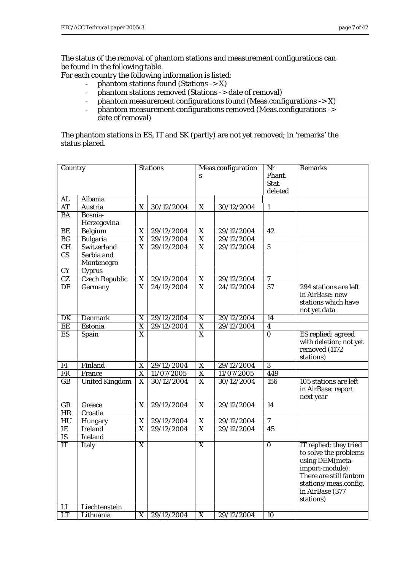The status of the removal of phantom stations and measurement configurations can be found in the following table.

For each country the following information is listed:

- phantom stations found (Stations -> X)
- phantom stations removed (Stations -> date of removal)
- phantom measurement configurations found (Meas.configurations -> X)
- phantom measurement configurations removed (Meas.configurations -> date of removal)

The phantom stations in ES, IT and SK (partly) are not yet removed; in 'remarks' the status placed.

| Country                |                       | <b>Stations</b>         |            | Meas.configuration      |            | Nr               | <b>Remarks</b>         |
|------------------------|-----------------------|-------------------------|------------|-------------------------|------------|------------------|------------------------|
|                        |                       |                         |            | S                       |            | Phant.           |                        |
|                        |                       |                         |            |                         |            | Stat.            |                        |
|                        |                       |                         |            |                         |            | deleted          |                        |
| <b>AL</b>              | Albania               |                         |            |                         |            |                  |                        |
| <b>AT</b>              | Austria               | $\mathbf X$             | 30/12/2004 | X                       | 30/12/2004 | $\mathbf{1}$     |                        |
| <b>BA</b>              | Bosnia-               |                         |            |                         |            |                  |                        |
|                        | Herzegovina           |                         |            |                         |            |                  |                        |
| $\rm BE$               | Belgium               | X                       | 29/12/2004 | X                       | 29/12/2004 | 42               |                        |
| $\mathbf{B}\mathbf{G}$ | <b>Bulgaria</b>       | $\overline{\mathbf{X}}$ | 29/12/2004 | $\overline{\mathbf{X}}$ | 29/12/2004 |                  |                        |
| $\overline{\text{CH}}$ | Switzerland           | X                       | 29/12/2004 | $\overline{\mathbf{X}}$ | 29/12/2004 | $\mathbf{5}$     |                        |
| $\overline{\text{CS}}$ | Serbia and            |                         |            |                         |            |                  |                        |
|                        | Montenegro            |                         |            |                         |            |                  |                        |
| <b>CY</b>              | Cyprus                |                         |            |                         |            |                  |                        |
| $\overline{\text{CZ}}$ | <b>Czech Republic</b> | X                       | 29/12/2004 | X                       | 29/12/2004 | $\boldsymbol{7}$ |                        |
| DE                     | Germany               | X                       | 24/12/2004 | $\overline{X}$          | 24/12/2004 | $\overline{57}$  | 294 stations are left  |
|                        |                       |                         |            |                         |            |                  | in AirBase: new        |
|                        |                       |                         |            |                         |            |                  | stations which have    |
|                        |                       |                         |            |                         |            |                  | not yet data           |
| DK                     | <b>Denmark</b>        | X                       | 29/12/2004 | X                       | 29/12/2004 | 14               |                        |
| EE                     | Estonia               | $\overline{\text{X}}$   | 29/12/2004 | $\overline{\mathbf{X}}$ | 29/12/2004 | $\boldsymbol{4}$ |                        |
| ES                     | Spain                 | $\overline{\text{X}}$   |            | $\overline{\mathbf{X}}$ |            | $\overline{0}$   | ES replied: agreed     |
|                        |                       |                         |            |                         |            |                  | with deletion; not yet |
|                        |                       |                         |            |                         |            |                  | removed (1172          |
|                        |                       |                         |            |                         |            |                  | stations)              |
| FI                     | Finland               | X                       | 29/12/2004 | X                       | 29/12/2004 | 3                |                        |
| <b>FR</b>              | France                | $\overline{\mathbf{X}}$ | 11/07/2005 | $\overline{\mathbf{X}}$ | 11/07/2005 | 449              |                        |
| GB                     | <b>United Kingdom</b> | $\overline{\mathbf{X}}$ | 30/12/2004 | $\overline{X}$          | 30/12/2004 | 156              | 105 stations are left  |
|                        |                       |                         |            |                         |            |                  | in AirBase: report     |
|                        |                       |                         |            |                         |            |                  | next year              |
| GR                     | Greece                | X                       | 29/12/2004 | X                       | 29/12/2004 | 14               |                        |
| HR                     | Croatia               |                         |            |                         |            |                  |                        |
| HU                     | Hungary               | X                       | 29/12/2004 | X                       | 29/12/2004 | 7                |                        |
| IE                     | <b>Ireland</b>        | X                       | 29/12/2004 | $\overline{\mathbf{X}}$ | 29/12/2004 | 45               |                        |
| $\overline{\text{IS}}$ | <b>Iceland</b>        |                         |            |                         |            |                  |                        |
| $\overline{\text{IT}}$ | Italy                 | $\mathbf X$             |            | $\overline{X}$          |            | $\mathbf{0}$     | IT replied: they tried |
|                        |                       |                         |            |                         |            |                  | to solve the problems  |
|                        |                       |                         |            |                         |            |                  | using DEM(meta-        |
|                        |                       |                         |            |                         |            |                  | import-module):        |
|                        |                       |                         |            |                         |            |                  | There are still fantom |
|                        |                       |                         |            |                         |            |                  | stations/meas.config.  |
|                        |                       |                         |            |                         |            |                  | in AirBase (377        |
|                        |                       |                         |            |                         |            |                  | stations)              |
| LI                     | Liechtenstein         |                         |            |                         |            |                  |                        |
| <b>LT</b>              | Lithuania             | $\mathbf X$             | 29/12/2004 | $\boldsymbol{X}$        | 29/12/2004 | 10               |                        |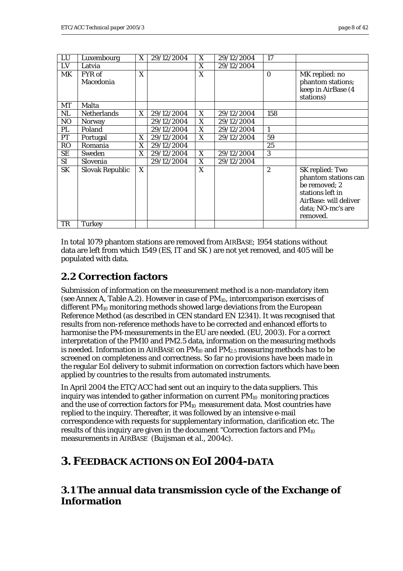<span id="page-7-0"></span>

| LU             | Luxembourg             | X | 29/12/2004 | X | 29/12/2004 | 17               |                       |
|----------------|------------------------|---|------------|---|------------|------------------|-----------------------|
| LV             | Latvia                 |   |            | X | 29/12/2004 |                  |                       |
| MK             | FYR of                 | X |            | X |            | $\Omega$         | MK replied: no        |
|                | Macedonia              |   |            |   |            |                  | phantom stations;     |
|                |                        |   |            |   |            |                  | keep in AirBase (4    |
|                |                        |   |            |   |            |                  | stations)             |
| <b>MT</b>      | Malta                  |   |            |   |            |                  |                       |
| NL             | <b>Netherlands</b>     | X | 29/12/2004 | X | 29/12/2004 | 158              |                       |
| N <sub>O</sub> | Norway                 |   | 29/12/2004 | X | 29/12/2004 |                  |                       |
| PL             | Poland                 |   | 29/12/2004 | X | 29/12/2004 | 1                |                       |
| <b>PT</b>      | Portugal               | X | 29/12/2004 | X | 29/12/2004 | 59               |                       |
| <b>RO</b>      | Romania                | X | 29/12/2004 |   |            | 25               |                       |
| SE             | Sweden                 | X | 29/12/2004 | X | 29/12/2004 | 3                |                       |
| <b>SI</b>      | Slovenia               |   | 29/12/2004 | X | 29/12/2004 |                  |                       |
| <b>SK</b>      | <b>Slovak Republic</b> | X |            | X |            | $\boldsymbol{2}$ | SK replied: Two       |
|                |                        |   |            |   |            |                  | phantom stations can  |
|                |                        |   |            |   |            |                  | be removed; 2         |
|                |                        |   |            |   |            |                  | stations left in      |
|                |                        |   |            |   |            |                  | AirBase: will deliver |
|                |                        |   |            |   |            |                  | data; NO-mc's are     |
|                |                        |   |            |   |            |                  | removed.              |
| TR             | <b>Turkey</b>          |   |            |   |            |                  |                       |

In total 1079 phantom stations are removed from AIRBASE; 1954 stations without data are left from which 1549 (ES, IT and SK ) are not yet removed, and 405 will be populated with data.

### **2.2 Correction factors**

Submission of information on the measurement method is a non-mandatory item (see Annex A, Table A.2). However in case of  $PM_{10}$ , intercomparison exercises of different PM<sub>10</sub> monitoring methods showed large deviations from the European Reference Method (as described in CEN standard EN 12341). It was recognised that results from non-reference methods have to be corrected and enhanced efforts to harmonise the PM-measurements in the EU are needed. (EU, 2003). For a correct interpretation of the PM10 and PM2.5 data, information on the measuring methods is needed. Information in AIRBASE on  $PM_{10}$  and  $PM_{2.5}$  measuring methods has to be screened on completeness and correctness. So far no provisions have been made in the regular EoI delivery to submit information on correction factors which have been applied by countries to the results from automated instruments.

In April 2004 the ETC/ACC had sent out an inquiry to the data suppliers. This inquiry was intended to gather information on current  $PM_{10}$  monitoring practices and the use of correction factors for  $PM_{10}$  measurement data. Most countries have replied to the inquiry. Thereafter, it was followed by an intensive e-mail correspondence with requests for supplementary information, clarification etc. The results of this inquiry are given in the document "Correction factors and PM<sub>10</sub> measurements in AIRBASE (Buijsman *et al*., 2004c).

# **3. FEEDBACK ACTIONS ON EOI 2004-DATA**

### **3.1 The annual data transmission cycle of the Exchange of Information**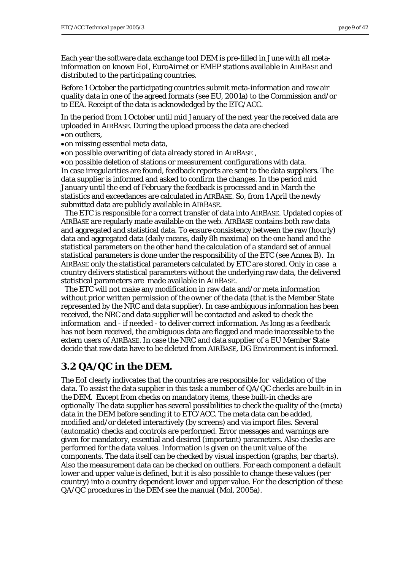<span id="page-8-0"></span>Each year the software data exchange tool DEM is pre-filled in June with all metainformation on known EoI, EuroAirnet or EMEP stations available in AIRBASE and distributed to the participating countries.

Before 1 October the participating countries submit meta-information and raw air quality data in one of the agreed formats (see EU, 2001a) to the Commission and/or to EEA. Receipt of the data is acknowledged by the ETC/ACC.

In the period from 1 October until mid January of the next year the received data are uploaded in AIRBASE. During the upload process the data are checked •on outliers,

•on missing essential meta data,

•on possible overwriting of data already stored in AIRBASE ,

•on possible deletion of stations or measurement configurations with data. In case irregularities are found, feedback reports are sent to the data suppliers. The data supplier is informed and asked to confirm the changes. In the period mid January until the end of February the feedback is processed and in March the statistics and exceedances are calculated in AIRBASE. So, from 1 April the newly submitted data are publicly available in AIRBASE.

 The ETC is responsible for a correct transfer of data into AIRBASE. Updated copies of AIRBASE are regularly made available on the web. AIRBASE contains both raw data and aggregated and statistical data. To ensure consistency between the raw (hourly) data and aggregated data (daily means, daily 8h maxima) on the one hand and the statistical parameters on the other hand the calculation of a standard set of annual statistical parameters is done under the responsibility of the ETC (see Annex B). In AIRBASE only the statistical parameters calculated by ETC are stored. Only in case a country delivers statistical parameters without the underlying raw data, the delivered statistical parameters are made available in AIRBASE.

 The ETC will not make any modification in raw data and/or meta information without prior written permission of the owner of the data (that is the Member State represented by the NRC and data supplier). In case ambiguous information has been received, the NRC and data supplier will be contacted and asked to check the information and - if needed - to deliver correct information. As long as a feedback has not been received, the ambiguous data are flagged and made inaccessible to the extern users of AIRBASE. In case the NRC and data supplier of a EU Member State decide that raw data have to be deleted from AIRBASE, DG Environment is informed.

#### **3.2 QA/QC in the DEM.**

The EoI clearly indivcates that the countries are responsible for validation of the data. To assist the data supplier in this task a number of QA/QC checks are built-in in the DEM. Except from checks on mandatory items, these built-in checks are optionally The data supplier has several possibilities to check the quality of the (meta) data in the DEM before sending it to ETC/ACC. The meta data can be added, modified and/or deleted interactively (by screens) and via import files. Several (automatic) checks and controls are performed. Error messages and warnings are given for mandatory, essential and desired (important) parameters. Also checks are performed for the data values. Information is given on the unit value of the components. The data itself can be checked by visual inspection (graphs, bar charts). Also the measurement data can be checked on outliers. For each component a default lower and upper value is defined, but it is also possible to change these values (per country) into a country dependent lower and upper value. For the description of these QA/QC procedures in the DEM see the manual (Mol, 2005a).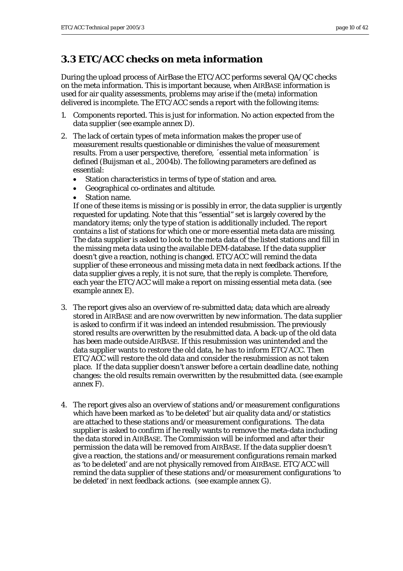## <span id="page-9-0"></span>**3.3 ETC/ACC checks on meta information**

During the upload process of AirBase the ETC/ACC performs several QA/QC checks on the meta information. This is important because, when AIRBASE information is used for air quality assessments, problems may arise if the (meta) information delivered is incomplete. The ETC/ACC sends a report with the following items:

- 1. Components reported. This is just for information. No action expected from the data supplier (see example annex D).
- 2. The lack of certain types of meta information makes the proper use of measurement results questionable or diminishes the value of measurement results. From a user perspective, therefore, ´essential meta information´ is defined (Buijsman *et al.*, 2004b). The following parameters are defined as essential:
	- Station characteristics in terms of type of station and area.
	- Geographical co-ordinates and altitude.
	- Station name.

If one of these items is missing or is possibly in error, the data supplier is urgently requested for updating. Note that this "essential" set is largely covered by the mandatory items; only the *type of station* is additionally included. The report contains a list of stations for which one or more essential meta data are missing. The data supplier is asked to look to the meta data of the listed stations and fill in the missing meta data using the available DEM-database. If the data supplier doesn't give a reaction, nothing is changed. ETC/ACC will remind the data supplier of these erroneous and missing meta data in next feedback actions. If the data supplier gives a reply, it is not sure, that the reply is complete. Therefore, each year the ETC/ACC will make a report on missing essential meta data. (see example annex E).

- 3. The report gives also an overview of re-submitted data; data which are already stored in AIRBASE and are now overwritten by new information. The data supplier is asked to confirm if it was indeed an intended resubmission. The previously stored results are overwritten by the resubmitted data. A back-up of the old data has been made outside AIRBASE. If this resubmission was unintended and the data supplier wants to restore the old data, he has to inform ETC/ACC. Then ETC/ACC will restore the old data and consider the resubmission as not taken place. If the data supplier doesn't answer before a certain deadline date, nothing changes: the old results remain overwritten by the resubmitted data. (see example annex F).
- 4. The report gives also an overview of stations and/or measurement configurations which have been marked as 'to be deleted' but air quality data and/or statistics are attached to these stations and/or measurement configurations. The data supplier is asked to confirm if he really wants to remove the meta-data including the data stored in AIRBASE. The Commission will be informed and after their permission the data will be removed from AIRBASE. If the data supplier doesn't give a reaction, the stations and/or measurement configurations remain marked as 'to be deleted' and are not physically removed from AIRBASE. ETC/ACC will remind the data supplier of these stations and/or measurement configurations 'to be deleted' in next feedback actions. (see example annex G).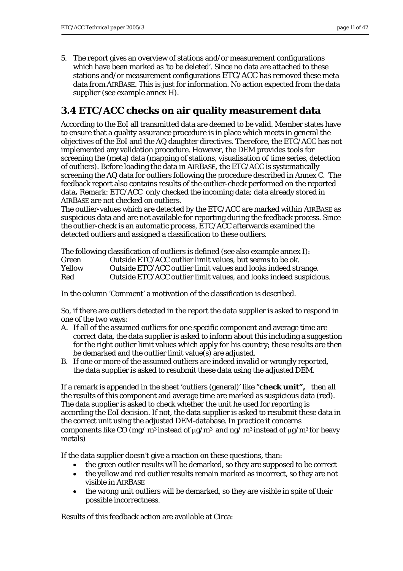<span id="page-10-0"></span>5. The report gives an overview of stations and/or measurement configurations which have been marked as 'to be deleted'. Since no data are attached to these stations and/or measurement configurations ETC/ACC has removed these meta data from AIRBASE. This is just for information. No action expected from the data supplier (see example annex H).

## **3.4 ETC/ACC checks on air quality measurement data**

According to the EoI all transmitted data are deemed to be valid. Member states have to ensure that a quality assurance procedure is in place which meets in general the objectives of the EoI and the AQ daughter directives. Therefore, the ETC/ACC has not implemented any validation procedure. However, the DEM provides tools for screening the (meta) data (mapping of stations, visualisation of time series, detection of outliers). Before loading the data in AIRBASE, the ETC/ACC is systematically screening the AQ data for outliers following the procedure described in Annex C. The feedback report also contains results of the outlier-check performed on the reported data**.** Remark: ETC/ACC only checked the incoming data; data already stored in AIRBASE are not checked on outliers.

The outlier-values which are detected by the ETC/ACC are marked within AIRBASE as suspicious data and are not available for reporting during the feedback process. Since the outlier-check is an automatic process, ETC/ACC afterwards examined the detected outliers and assigned a classification to these outliers.

The following classification of outliers is defined (see also example annex I): Green Outside ETC/ACC outlier limit values, but seems to be ok. Yellow Outside ETC/ACC outlier limit values and looks indeed strange. Red Outside ETC/ACC outlier limit values, and looks indeed suspicious.

In the column 'Comment' a motivation of the classification is described.

So, if there are outliers detected in the report the data supplier is asked to respond in one of the two ways:

- A. If all of the assumed outliers for one specific component and average time are correct data, the data supplier is asked to inform about this including a suggestion for the right outlier limit values which apply for his country; these results are then be demarked and the outlier limit value(s) are adjusted.
- B. If one or more of the assumed outliers are indeed invalid or wrongly reported, the data supplier is asked to resubmit these data using the adjusted DEM.

If a remark is appended in the sheet 'outliers (general)' like "**check unit",** then all the results of this component and average time are marked as suspicious data (red). The data supplier is asked to check whether the unit he used for reporting is according the EoI decision. If not, the data supplier is asked to resubmit these data in the correct unit using the adjusted DEM-database. In practice it concerns components like CO (mg/ m<sup>3</sup> instead of  $\mu$ g/m<sup>3</sup> and ng/ m<sup>3</sup> instead of  $\mu$ g/m<sup>3</sup> for heavy metals)

If the data supplier doesn't give a reaction on these questions, than:

- the green outlier results will be demarked, so they are supposed to be correct
- the yellow and red outlier results remain marked as incorrect, so they are not visible in AIRBASE
- the wrong unit outliers will be demarked, so they are visible in spite of their possible incorrectness.

Results of this feedback action are available at Circa: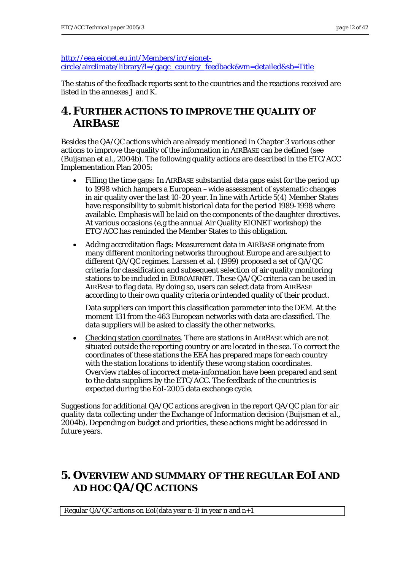<span id="page-11-0"></span>[http://eea.eionet.eu.int/Members/irc/eionet](http://eea.eionet.eu.int/Members/irc/eionet-circle/airclimate/library?l=/qaqc_country_feedback&vm=detailed&sb=Title)[circle/airclimate/library?l=/qaqc\\_country\\_feedback&vm=detailed&sb=Title](http://eea.eionet.eu.int/Members/irc/eionet-circle/airclimate/library?l=/qaqc_country_feedback&vm=detailed&sb=Title)

The status of the feedback reports sent to the countries and the reactions received are listed in the annexes J and K.

## **4.FURTHER ACTIONS TO IMPROVE THE QUALITY OF AIRBASE**

Besides the QA/QC actions which are already mentioned in Chapter 3 various other actions to improve the quality of the information in AIRBASE can be defined (see (Buijsman *et al*., 2004b). The following quality actions are described in the ETC/ACC Implementation Plan 2005:

- Filling the time gaps: In AIRBASE substantial data gaps exist for the period up to 1998 which hampers a European –wide assessment of systematic changes in air quality over the last  $10-20$  year. In line with Article  $5(4)$  Member States have responsibility to submit historical data for the period 1989-1998 where available. Emphasis will be laid on the components of the daughter directives. At various occasions (e,g the annual Air Quality EIONET workshop) the ETC/ACC has reminded the Member States to this obligation.
- Adding accreditation flags: Measurement data in AIRBASE originate from many different monitoring networks throughout Europe and are subject to different QA/QC regimes. Larssen *et al.* (1999) proposed a set of QA/QC criteria for classification and subsequent selection of air quality monitoring stations to be included in EUROAIRNET. These QA/QC criteria can be used in AIRBASE to flag data. By doing so, users can select data from AIRBASE according to their own quality criteria or intended quality of their product.

Data suppliers can import this classification parameter into the DEM. At the moment 131 from the 463 European networks with data are classified. The data suppliers will be asked to classify the other networks.

• Checking station coordinates. There are stations in AIRBASE which are not situated outside the reporting country or are located in the sea. To correct the coordinates of these stations the EEA has prepared maps for each country with the station locations to identify these wrong station coordinates. Overview rtables of incorrect meta-information have been prepared and sent to the data suppliers by the ETC/ACC. The feedback of the countries is expected during the EoI-2005 data exchange cycle.

Suggestions for additional QA/QC actions are given in the report *QA/QC plan for air quality data collecting under the Exchange of Information decision* (Buijsman *et al.*, 2004b). Depending on budget and priorities, these actions might be addressed in future years.

# **5. OVERVIEW AND SUMMARY OF THE REGULAR EOI AND AD HOC QA/QC ACTIONS**

Regular QA/QC actions on EoI(data year n-1) in year n and n+1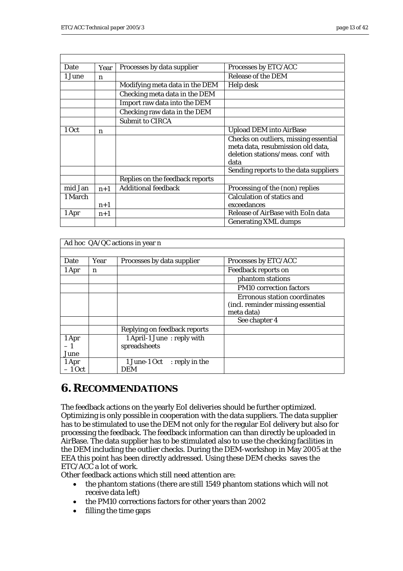<span id="page-12-0"></span>

| Date    | Year        | Processes by data supplier      | Processes by ETC/ACC                                                                                                    |
|---------|-------------|---------------------------------|-------------------------------------------------------------------------------------------------------------------------|
| 1 June  | n           |                                 | <b>Release of the DEM</b>                                                                                               |
|         |             | Modifying meta data in the DEM  | Help desk                                                                                                               |
|         |             | Checking meta data in the DEM   |                                                                                                                         |
|         |             | Import raw data into the DEM    |                                                                                                                         |
|         |             | Checking raw data in the DEM    |                                                                                                                         |
|         |             | <b>Submit to CIRCA</b>          |                                                                                                                         |
| 1 Oct   | $\mathbf n$ |                                 | <b>Upload DEM into AirBase</b>                                                                                          |
|         |             |                                 | Checks on outliers, missing essential<br>meta data, resubmission old data,<br>deletion stations/meas. conf with<br>data |
|         |             |                                 | Sending reports to the data suppliers                                                                                   |
|         |             | Replies on the feedback reports |                                                                                                                         |
| mid Jan | $n+1$       | <b>Additional feedback</b>      | Processing of the (non) replies                                                                                         |
| 1 March |             |                                 | <b>Calculation of statics and</b>                                                                                       |
|         | $n+1$       |                                 | exceedances                                                                                                             |
| 1 Apr   | $n+1$       |                                 | Release of AirBase with EoIn data                                                                                       |
|         |             |                                 | <b>Generating XML dumps</b>                                                                                             |

| Ad hoc QA/QC actions in year n |      |                                            |                                                                                        |  |  |
|--------------------------------|------|--------------------------------------------|----------------------------------------------------------------------------------------|--|--|
|                                |      |                                            |                                                                                        |  |  |
| Date                           | Year | Processes by data supplier                 | Processes by ETC/ACC                                                                   |  |  |
| 1 Apr                          | n    |                                            | <b>Feedback reports on</b>                                                             |  |  |
|                                |      |                                            | phantom stations                                                                       |  |  |
|                                |      |                                            | <b>PM10</b> correction factors                                                         |  |  |
|                                |      |                                            | <b>Erronous station coordinates</b><br>(incl. reminder missing essential<br>meta data) |  |  |
|                                |      |                                            | See chapter 4                                                                          |  |  |
|                                |      | Replying on feedback reports               |                                                                                        |  |  |
| 1 Apr<br>$-1$<br>June          |      | 1 April-1 June: reply with<br>spreadsheets |                                                                                        |  |  |
| 1 Apr<br>$-1$ Oct              |      | 1 June-1 Oct : reply in the<br><b>DEM</b>  |                                                                                        |  |  |

## **6.RECOMMENDATIONS**

The feedback actions on the yearly EoI deliveries should be further optimized. Optimizing is only possible in cooperation with the data suppliers. The data supplier has to be stimulated to use the DEM not only for the regular EoI delivery but also for processing the feedback. The feedback information can than directly be uploaded in AirBase. The data supplier has to be stimulated also to use the checking facilities in the DEM including the outlier checks. During the DEM-workshop in May 2005 at the EEA this point has been directly addressed. Using these DEM checks saves the ETC/ACC a lot of work.

Other feedback actions which still need attention are:

- the phantom stations (there are still 1549 phantom stations which will not receive data left)
- the PM10 corrections factors for other years than 2002
- filling the time gaps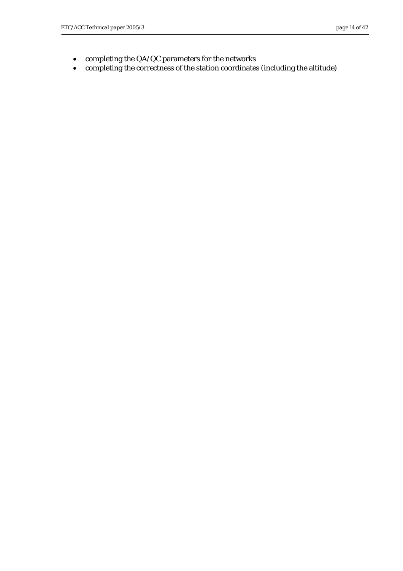- completing the QA/QC parameters for the networks
- completing the correctness of the station coordinates (including the altitude)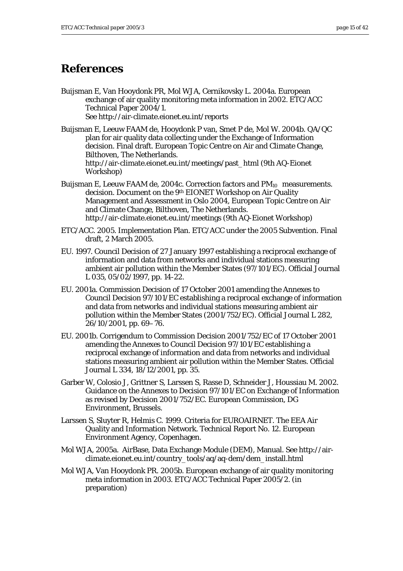## <span id="page-14-0"></span>**References**

Buijsman E, Van Hooydonk PR, Mol WJA, Cernikovsky L. 2004a. European exchange of air quality monitoring meta information in 2002. ETC/ACC Technical Paper 2004/1. See http://air-climate.eionet.eu.int/reports

Buijsman E, Leeuw FAAM de, Hooydonk P van, Smet P de, Mol W. 2004b. QA/QC plan for air quality data collecting under the Exchange of Information decision. Final draft. European Topic Centre on Air and Climate Change, Bilthoven, The Netherlands. http://air-climate.eionet.eu.int/meetings/past\_html (9th AQ-Eionet Workshop)

- Buijsman E, Leeuw FAAM de, 2004c. Correction factors and PM<sub>10</sub> measurements. decision. Document on the 9th EIONET Workshop on Air Quality Management and Assessment in Oslo 2004, European Topic Centre on Air and Climate Change, Bilthoven, The Netherlands. http://air-climate.eionet.eu.int/meetings (9th AQ-Eionet Workshop)
- ETC/ACC. 2005. Implementation Plan. ETC/ACC under the 2005 Subvention. Final draft, 2 March 2005.
- EU. 1997. Council Decision of 27 January 1997 establishing a reciprocal exchange of information and data from networks and individual stations measuring ambient air pollution within the Member States (97/101/EC). Official Journal L 035, 05/02/1997, pp. 14-22.
- EU. 2001a. Commission Decision of 17 October 2001 amending the Annexes to Council Decision 97/101/EC establishing a reciprocal exchange of information and data from networks and individual stations measuring ambient air pollution within the Member States (2001/752/EC). Official Journal L 282, 26/10/2001, pp. 69–76.
- EU. 2001b. Corrigendum to Commission Decision 2001/752/EC of 17 October 2001 amending the Annexes to Council Decision 97/101/EC establishing a reciprocal exchange of information and data from networks and individual stations measuring ambient air pollution within the Member States. Official Journal L 334, 18/12/2001, pp. 35.
- Garber W, Colosio J, Grittner S, Larssen S, Rasse D, Schneider J, Houssiau M. 2002. Guidance on the Annexes to Decision 97/101/EC on Exchange of Information as revised by Decision 2001/752/EC. European Commission, DG Environment, Brussels.
- Larssen S, Sluyter R, Helmis C. 1999. Criteria for EUROAIRNET. The EEA Air Quality and Information Network. Technical Report No. 12. European Environment Agency, Copenhagen.
- Mol WJA, 2005a. AirBase, Data Exchange Module (DEM), Manual. See http://airclimate.eionet.eu.int/country\_tools/aq/aq-dem/dem\_install.html
- Mol WJA, Van Hooydonk PR. 2005b. European exchange of air quality monitoring meta information in 2003. ETC/ACC Technical Paper 2005/2. (in preparation)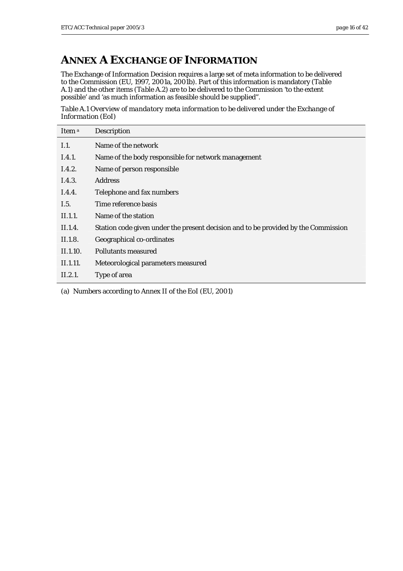# <span id="page-15-0"></span>**ANNEX A EXCHANGE OF INFORMATION**

The Exchange of Information Decision requires a large set of meta information to be delivered to the Commission (EU, 1997, 2001a, 2001b). Part of this information is mandatory (*Table A.1*) and the other items (*Table A.2*) are to be delivered to the Commission 'to the extent possible' and 'as much information as feasible should be supplied".

*Table A.1 Overview of mandatory meta information to be delivered under the Exchange of Information (EoI)* 

| Item <sup>a</sup> | Description                                                                        |
|-------------------|------------------------------------------------------------------------------------|
| I.1.              | Name of the network                                                                |
| I.4.1.            | Name of the body responsible for network management                                |
| I.4.2.            | Name of person responsible                                                         |
| I.4.3.            | <b>Address</b>                                                                     |
| I.4.4.            | Telephone and fax numbers                                                          |
| I.5.              | Time reference basis                                                               |
| II.1.1.           | Name of the station                                                                |
| II.1.4.           | Station code given under the present decision and to be provided by the Commission |
| II.1.8.           | Geographical co-ordinates                                                          |
| II.1.10.          | Pollutants measured                                                                |
| II.1.11.          | Meteorological parameters measured                                                 |
| II.2.1.           | Type of area                                                                       |
|                   |                                                                                    |

(a) Numbers according to Annex II of the EoI (EU, 2001)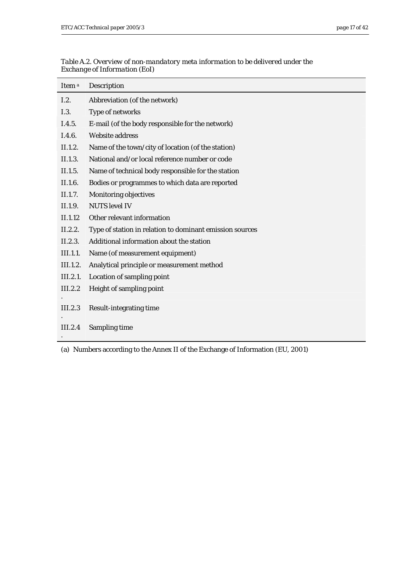| Item <sup>a</sup> | Description                                              |
|-------------------|----------------------------------------------------------|
| I.2.              | Abbreviation (of the network)                            |
| I.3.              | Type of networks                                         |
| I.4.5.            | E-mail (of the body responsible for the network)         |
| I.4.6.            | <b>Website address</b>                                   |
| II.1.2.           | Name of the town/city of location (of the station)       |
| II.1.3.           | National and/or local reference number or code           |
| II.1.5.           | Name of technical body responsible for the station       |
| II.1.6.           | Bodies or programmes to which data are reported          |
| II.1.7.           | <b>Monitoring objectives</b>                             |
| II.1.9.           | <b>NUTS</b> level IV                                     |
| II.1.12           | Other relevant information                               |
| II.2.2.           | Type of station in relation to dominant emission sources |
| II.2.3.           | Additional information about the station                 |
| III.1.1.          | Name (of measurement equipment)                          |
| III.1.2.          | Analytical principle or measurement method               |
| III.2.1.          | Location of sampling point                               |
| III.2.2           | Height of sampling point                                 |
| III.2.3           | <b>Result-integrating time</b>                           |
| III.2.4           | Sampling time                                            |

*Table A.2. Overview of non-mandatory meta information to be delivered under the Exchange of Information (EoI)* 

(a) Numbers according to the Annex II of the Exchange of Information (EU, 2001)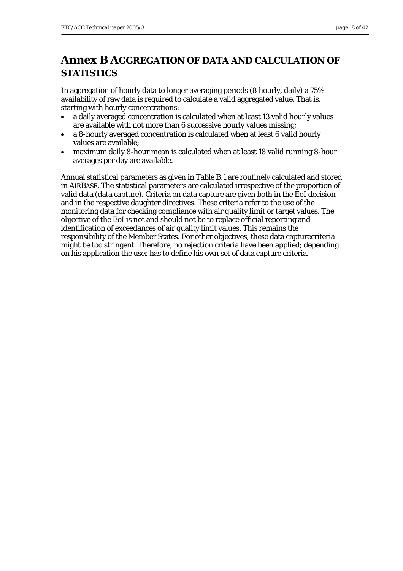# <span id="page-17-0"></span>**Annex B AGGREGATION OF DATA AND CALCULATION OF STATISTICS**

In aggregation of hourly data to longer averaging periods (8 hourly, daily) a 75% availability of raw data is required to calculate a valid aggregated value. That is, starting with hourly concentrations:

- a daily averaged concentration is calculated when at least 13 valid hourly values are available with not more than 6 successive hourly values missing;
- a 8-hourly averaged concentration is calculated when at least 6 valid hourly values are available;
- maximum daily 8-hour mean is calculated when at least 18 valid running 8-hour averages per day are available.

Annual statistical parameters as given in Table B.1 are routinely calculated and stored in AIRBASE. The statistical parameters are calculated irrespective of the proportion of valid data (data capture). Criteria on data capture are given both in the EoI decision and in the respective daughter directives. These criteria refer to the use of the monitoring data for checking compliance with air quality limit or target values. The objective of the EoI is not and should not be to replace official reporting and identification of exceedances of air quality limit values. This remains the responsibility of the Member States. For other objectives, these data capturecriteria might be too stringent. Therefore, no rejection criteria have been applied; depending on his application the user has to define his own set of data capture criteria.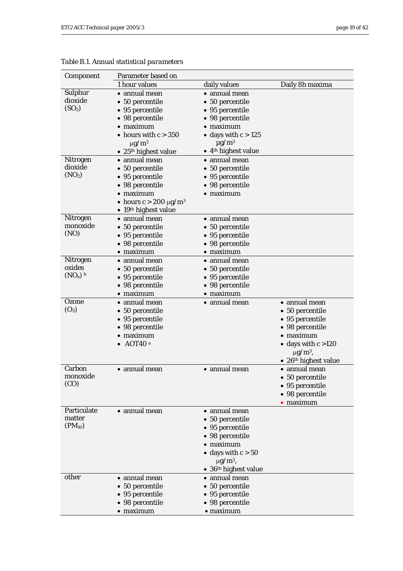| Component                 | Parameter based on                   |                                         |                          |
|---------------------------|--------------------------------------|-----------------------------------------|--------------------------|
|                           | 1 hour values                        | daily values                            | Daily 8h maxima          |
| Sulphur                   | • annual mean                        | $\bullet$ annual mean                   |                          |
| dioxide                   | • 50 percentile                      | • 50 percentile                         |                          |
| (SO <sub>2</sub> )        | • 95 percentile                      | • 95 percentile                         |                          |
|                           | • 98 percentile                      | • 98 percentile                         |                          |
|                           | $\bullet$ maximum                    | $\bullet$ maximum                       |                          |
|                           | • hours with $c > 350$               | • days with $c > 125$                   |                          |
|                           | $\mu$ g/m <sup>3</sup>               | $\mu$ g/m <sup>3</sup>                  |                          |
|                           | • 25 <sup>th</sup> highest value     | $\bullet$ 4 <sup>th</sup> highest value |                          |
| Nitrogen                  | • annual mean                        | • annual mean                           |                          |
| dioxide                   | • 50 percentile                      | • 50 percentile                         |                          |
| (NO <sub>2</sub> )        | • 95 percentile                      | • 95 percentile                         |                          |
|                           | • 98 percentile                      | • 98 percentile                         |                          |
|                           | $\bullet$ maximum                    | $\bullet$ maximum                       |                          |
|                           | • hours $c > 200 \mu g/m^3$          |                                         |                          |
|                           | • 19th highest value                 |                                         |                          |
| Nitrogen<br>monoxide      | • annual mean                        | • annual mean                           |                          |
| (NO)                      | • 50 percentile                      | • 50 percentile                         |                          |
|                           | • 95 percentile                      | • 95 percentile                         |                          |
|                           | • 98 percentile                      | • 98 percentile                         |                          |
|                           | $\bullet$ maximum                    | $\bullet$ maximum                       |                          |
| <b>Nitrogen</b><br>oxides | • annual mean                        | · annual mean                           |                          |
| $(NO_x)$ b                | • 50 percentile                      | • 50 percentile                         |                          |
|                           | • 95 percentile                      | • 95 percentile                         |                          |
|                           | • 98 percentile<br>$\bullet$ maximum | • 98 percentile<br>$\bullet$ maximum    |                          |
| Ozone                     | • annual mean                        | · annual mean                           | • annual mean            |
| $(O_3)$                   | • 50 percentile                      |                                         | • 50 percentile          |
|                           | • 95 percentile                      |                                         | • 95 percentile          |
|                           | • 98 percentile                      |                                         | • 98 percentile          |
|                           | $\bullet$ maximum                    |                                         | $\bullet$ maximum        |
|                           | $\bullet$ AOT40 <sup>a</sup>         |                                         | • days with $c > 120$    |
|                           |                                      |                                         | $\mu$ g/m <sup>3</sup> , |
|                           |                                      |                                         | • $26th$ highest value   |
| Carbon                    | • annual mean                        | • annual mean                           | • annual mean            |
| monoxide                  |                                      |                                         | • 50 percentile          |
| (CO)                      |                                      |                                         | • 95 percentile          |
|                           |                                      |                                         | • 98 percentile          |
|                           |                                      |                                         | $\bullet$ maximum        |
| Particulate               | · annual mean                        | · annual mean                           |                          |
| matter                    |                                      | • 50 percentile                         |                          |
| $(PM_{10})$               |                                      | • 95 percentile                         |                          |
|                           |                                      | • 98 percentile                         |                          |
|                           |                                      | $\bullet$ maximum                       |                          |
|                           |                                      | • days with $c > 50$                    |                          |
|                           |                                      | $\mu$ g/m <sup>3</sup> ,                |                          |
|                           |                                      | • $36th$ highest value                  |                          |
| other                     | • annual mean                        | • annual mean                           |                          |
|                           | • 50 percentile                      | • 50 percentile                         |                          |
|                           | • 95 percentile                      | • 95 percentile                         |                          |
|                           | • 98 percentile                      | • 98 percentile                         |                          |
|                           | $\bullet$ maximum                    | $\bullet$ maximum                       |                          |

*Table B.1. Annual statistical parameters*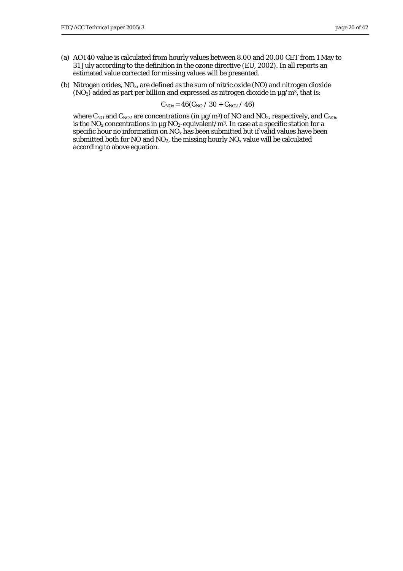- (a) AOT40 value is calculated from hourly values between 8.00 and 20.00 CET from 1 May to 31 July according to the definition in the ozone directive (EU, 2002). In all reports an estimated value corrected for missing values will be presented.
- (b) Nitrogen oxides, NOx, are defined as the sum of nitric oxide (NO) and nitrogen dioxide  $(NO_2)$  added as part per billion and expressed as nitrogen dioxide in  $\mu$ g/m<sup>3</sup>, that is:

$$
C_{\rm NOx} = 46 (C_{\rm NO} / 30 + C_{\rm NO2} / 46)
$$

where  $C_{NO}$  and  $C_{NO2}$  are concentrations (in  $\mu$ g/m<sup>3</sup>) of NO and NO<sub>2</sub>, respectively, and  $C_{NOx}$ is the  $NO_x$  concentrations in µg  $NO_2$ -equivalent/m<sup>3</sup>. In case at a specific station for a specific hour no information on  $NO_x$  has been submitted but if valid values have been submitted both for NO and  $NO<sub>2</sub>$ , the missing hourly  $NO<sub>x</sub>$  value will be calculated according to above equation.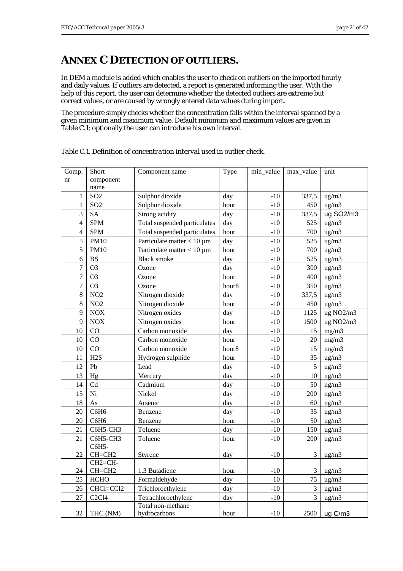## <span id="page-20-0"></span>**ANNEX C DETECTION OF OUTLIERS.**

In DEM a module is added which enables the user to check on outliers on the imported hourly and daily values. If outliers are detected, a report is generated informing the user. With the help of this report, the user can determine whether the detected outliers are extreme but correct values, or are caused by wrongly entered data values during import.

The procedure simply checks whether the concentration falls within the interval spanned by a given minimum and maximum value. Default minimum and maximum values are given in Table C.1; optionally the user can introduce his own interval.

| Comp.<br>nr    | Short<br>component<br>name       | Component name                    | Type  | min_value    | max_value      | unit            |
|----------------|----------------------------------|-----------------------------------|-------|--------------|----------------|-----------------|
| $\mathbf{1}$   | SO <sub>2</sub>                  | Sulphur dioxide                   | day   | $-10$        | 337,5          | ug/m3           |
| $\mathbf{1}$   | SO <sub>2</sub>                  | Sulphur dioxide                   | hour  | $-10$        | 450            | ug/m3           |
| 3              | <b>SA</b>                        | Strong acidity                    | day   | $-10$        | 337,5          | ug SO2/m3       |
| 4              | <b>SPM</b>                       | Total suspended particulates      | day   | $-10$        | 525            | ug/m3           |
| $\overline{4}$ | <b>SPM</b>                       | Total suspended particulates      | hour  | $-10$        | 700            | $\text{ug/m3}$  |
| 5              | <b>PM10</b>                      | Particulate matter $< 10 \mu m$   | day   | $-10$        | 525            | ug/m3           |
| 5              | <b>PM10</b>                      | Particulate matter $< 10 \mu m$   | hour  | $-10$        | 700            | ug/m3           |
| 6              | <b>BS</b>                        | <b>Black smoke</b>                | day   | $-10$        | 525            | ug/m3           |
| $\overline{7}$ | O <sub>3</sub>                   | Ozone                             | day   | $-10$        | 300            | ug/m3           |
| $\overline{7}$ | O <sub>3</sub>                   | Ozone                             | hour  | $-10$        | 400            | ug/m3           |
| $\overline{7}$ | O <sub>3</sub>                   | Ozone                             | hour8 | $-10$        | 350            | ug/m3           |
| 8              | NO2                              | Nitrogen dioxide                  | day   | $-10$        | 337,5          | ug/m3           |
| 8              | NO2                              | Nitrogen dioxide                  | hour  | $-10$        | 450            | $\frac{ug}{m3}$ |
| 9              | <b>NOX</b>                       | Nitrogen oxides                   | day   | $-10$        | 1125           | ug NO2/m3       |
| 9              | <b>NOX</b>                       | Nitrogen oxides                   | hour  | $-10$        | 1500           | ug NO2/m3       |
| 10             | CO                               | Carbon monoxide                   | day   | $-10$        | 15             | mg/m3           |
| 10             | CO                               | Carbon monoxide                   | hour  | $-10$        | 20             | mg/m3           |
| 10             | CO                               | Carbon monoxide                   | hour8 | $-10$        | 15             | mg/m3           |
| 11             | H2S                              | Hydrogen sulphide                 | hour  | $-10$        | 35             | ug/m3           |
| 12             | Pb                               | Lead                              | day   | $-10$        | 5              | ug/m3           |
| 13             | Hg                               | Mercury                           | day   | $-10$        | 10             | ng/m3           |
| 14             | Cd                               | Cadmium                           | day   | $-10$        | 50             | ng/m3           |
| 15             | Ni                               | Nickel                            | day   | $-10$        | 200            | ng/m3           |
| 18             | As                               | Arsenic                           | day   | $-10$        | 60             | ng/m3           |
| 20             | C6H6                             | Benzene                           | day   | $-10$        | 35             | ug/m3           |
| 20             | C6H6                             | Benzene                           | hour  | $-10$        | 50             | ug/m3           |
| 21             | C6H5-CH3                         | Toluene                           | day   | $\mbox{-}10$ | 150            | ug/m3           |
| 21             | C6H5-CH3                         | Toluene                           | hour  | $\mbox{-}10$ | 200            | ug/m3           |
| 22             | C6H5-<br>$CH=CH2$                | Styrene                           | day   | $\mbox{-}10$ | 3              | ug/m3           |
| 24             | CH <sub>2</sub> =CH-<br>$CH=CH2$ | 1.3 Butadiene                     | hour  | $-10$        | 3              | ug/m3           |
| 25             | <b>HCHO</b>                      | Formaldehyde                      | day   | $-10$        | 75             | ug/m3           |
| 26             | CHCl=CCl2                        | Trichloroethylene                 | day   | $\mbox{-}10$ | 3              | ug/m3           |
| 27             | C <sub>2</sub> C <sub>14</sub>   | Tetrachloroethylene               | day   | $-10$        | $\overline{3}$ | ug/m3           |
| 32             | THC (NM)                         | Total non-methane<br>hydrocarbons | hour  | $-10$        | 2500           | ug C/m3         |

*Table C.1. Definition of concentration interval used in outlier check.*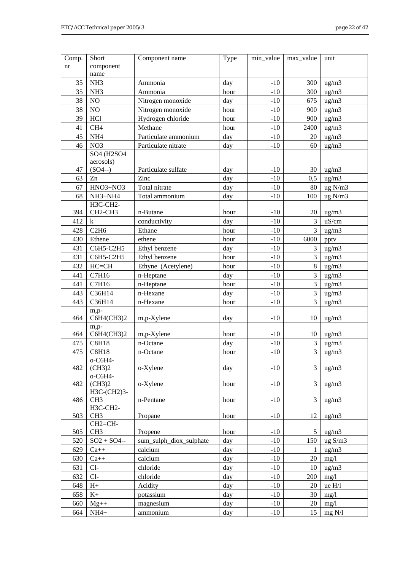| Comp. | Short                            | Component name          | Type | min_value | max_value      | unit                |
|-------|----------------------------------|-------------------------|------|-----------|----------------|---------------------|
| nr    | component                        |                         |      |           |                |                     |
|       | name                             |                         |      |           |                |                     |
| 35    | NH <sub>3</sub>                  | Ammonia                 | day  | $-10$     | 300            | $\mu$ g/m $3$       |
| 35    | NH <sub>3</sub>                  | Ammonia                 | hour | $-10$     | 300            | ug/m3               |
| 38    | $\rm NO$                         | Nitrogen monoxide       | day  | $-10$     | 675            | ug/m3               |
| 38    | NO                               | Nitrogen monoxide       | hour | $-10$     | 900            | ug/m3               |
| 39    | HCl                              | Hydrogen chloride       | hour | $-10$     | 900            | ug/m3               |
| 41    | CH <sub>4</sub>                  | Methane                 | hour | $-10$     | 2400           | $\frac{ug}{m3}$     |
| 45    | NH <sub>4</sub>                  | Particulate ammonium    | day  | $-10$     | $20\,$         | ug/m3               |
| 46    | NO <sub>3</sub>                  | Particulate nitrate     | day  | $-10$     | 60             | $\text{ug/m3}$      |
|       | SO4 (H2SO4                       |                         |      |           |                |                     |
|       | aerosols)                        |                         |      |           |                |                     |
| 47    | $(SO4--)$                        | Particulate sulfate     | day  | $-10$     | 30             | $\mu$ g/m $\lambda$ |
| 63    | Zn                               | Zinc                    | day  | $-10$     | 0,5            | ug/m3               |
| 67    | HNO3+NO3                         | Total nitrate           | day  | $-10$     | 80             | ug N/m3             |
| 68    | NH3+NH4                          | Total ammonium          | day  | $-10$     | 100            | ug N/m3             |
|       | H3C-CH2-                         |                         |      |           |                |                     |
| 394   | CH <sub>2</sub> -CH <sub>3</sub> | n-Butane                | hour | $-10$     | 20             | ug/m3               |
| 412   | $\bf k$                          | conductivity            | day  | $-10$     | 3              | uS/cm               |
| 428   | C2H6                             | Ethane                  | hour | $-10$     | 3              | ug/m3               |
| 430   | Ethene                           | ethene                  | hour | $-10$     | 6000           | pptv                |
| 431   | C6H5-C2H5                        | Ethyl benzene           | day  | $-10$     | 3              | ug/m3               |
| 431   | C6H5-C2H5                        | Ethyl benzene           | hour | $-10$     | 3              | $\mu$ g/m $\lambda$ |
| 432   | $HC=CH$                          | Ethyne (Acetylene)      | hour | $-10$     | $\,8\,$        | $\mu$ g/m $\lambda$ |
| 441   | C7H16                            | n-Heptane               | day  | $-10$     | 3              | ug/m3               |
| 441   | C7H16                            | n-Heptane               | hour | $-10$     | 3              | ug/m3               |
| 443   | C36H14                           | n-Hexane                | day  | $-10$     | 3              | ug/m3               |
| 443   | C36H14                           | n-Hexane                | hour | $-10$     | $\overline{3}$ | ug/m3               |
|       | m,p-                             |                         |      |           |                |                     |
| 464   | C6H4(CH3)2                       | m,p-Xylene              | day  | $-10$     | 10             | ug/m3               |
|       | m,p-                             |                         |      |           |                |                     |
| 464   | C6H4(CH3)2                       | m,p-Xylene              | hour | $-10$     | 10             | ug/m3               |
| 475   | <b>C8H18</b>                     | n-Octane                | day  | $-10$     | 3              | ug/m3               |
| 475   | <b>C8H18</b>                     | n-Octane                | hour | $-10$     | $\overline{3}$ | ug/m3               |
|       | o-C6H4-                          |                         |      |           |                |                     |
| 482   | (CH3)2                           | o-Xylene                | day  | $-10$     | 3              | ug/m3               |
|       | o-C6H4-                          |                         |      |           |                |                     |
| 482   | (CH3)2                           | o-Xylene                | hour | $-10$     | 3              | $\mu$ g/m $\lambda$ |
|       | H3C-(CH2)3-                      |                         |      |           |                |                     |
| 486   | CH <sub>3</sub><br>H3C-CH2-      | n-Pentane               | hour | $-10$     | 3              | $\mu$ g/m $\lambda$ |
| 503   | CH <sub>3</sub>                  | Propane                 | hour | $-10$     | 12             | $\mu$ g/m $3$       |
|       | CH2=CH-                          |                         |      |           |                |                     |
| 505   | CH <sub>3</sub>                  | Propene                 | hour | $-10$     | 5              | ug/m3               |
| 520   | $SO2 + SO4$ --                   | sum_sulph_diox_sulphate | day  | $-10$     | 150            | ug S/m3             |
| 629   | $Ca++$                           | calcium                 | day  | $-10$     | 1              | $\frac{ug}{m3}$     |
| 630   | $Ca++$                           | calcium                 | day  | $-10$     | 20             | mg/1                |
| 631   | $Cl-$                            | chloride                | day  | $-10$     | 10             | $\text{ug/m3}$      |
| 632   | $Cl-$                            | chloride                | day  | $-10$     | 200            | mg/1                |
| 648   | $H+$                             | Acidity                 | day  | $-10$     | 20             | ue H/l              |
| 658   | $K+$                             |                         |      |           |                |                     |
|       |                                  | potassium               | day  | $-10$     | 30             | mg/1                |
| 660   | $Mg++$                           | magnesium               | day  | $-10$     | 20             | mg/l                |
| 664   | $NH4+$                           | ammonium                | day  | $-10$     | 15             | mg N/l              |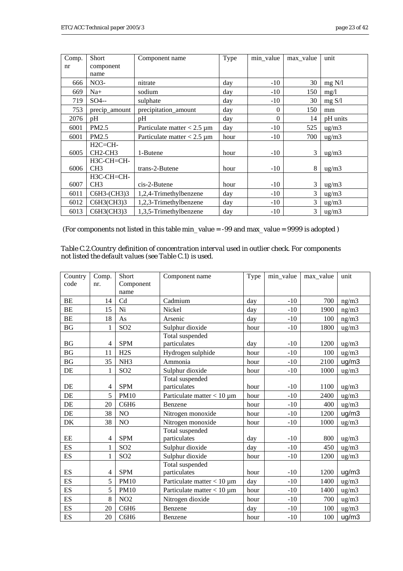| Comp. | <b>Short</b>                     | Component name                   | Type | min value | max value | unit                |
|-------|----------------------------------|----------------------------------|------|-----------|-----------|---------------------|
| nr    | component                        |                                  |      |           |           |                     |
|       | name                             |                                  |      |           |           |                     |
| 666   | NO <sub>3</sub>                  | nitrate                          | day  | $-10$     | 30        | mg N/l              |
| 669   | $Na+$                            | sodium                           | day  | $-10$     | 150       | mg/1                |
| 719   | $SO4$ --                         | sulphate                         | day  | $-10$     | 30        | mg S/l              |
| 753   | precip_amount                    | precipitation_amount             | day  | $\theta$  | 150       | mm                  |
| 2076  | pH                               | pH                               | day  | $\Omega$  | 14        | pH units            |
| 6001  | PM2.5                            | Particulate matter $< 2.5 \mu m$ | day  | $-10$     | 525       | $\mu$ g/m $\lambda$ |
| 6001  | PM2.5                            | Particulate matter $< 2.5 \mu m$ | hour | $-10$     | 700       | ug/m3               |
|       | $H2C=CH-$                        |                                  |      |           |           |                     |
| 6005  | CH <sub>2</sub> -CH <sub>3</sub> | 1-Butene                         | hour | $-10$     | 3         | ug/m3               |
|       | H3C-CH=CH-                       |                                  |      |           |           |                     |
| 6006  | CH3                              | trans-2-Butene                   | hour | $-10$     | 8         | ug/m3               |
|       | H3C-CH=CH-                       |                                  |      |           |           |                     |
| 6007  | CH <sub>3</sub>                  | cis-2-Butene                     | hour | $-10$     | 3         | $\mu$ g/m $\lambda$ |
| 6011  | C6H3-(CH3)3                      | 1,2,4-Trimethylbenzene           | day  | $-10$     | 3         | ug/m3               |
| 6012  | C6H3(CH3)3                       | 1,2,3-Trimethylbenzene           | day  | $-10$     | 3         | $\mu$ g/m $\lambda$ |
| 6013  | C6H3(CH3)3                       | 1,3,5-Trimethylbenzene           | day  | $-10$     | 3         | $\mu$ g/m $\lambda$ |

(For components not listed in this table min\_value = -99 and max\_value = 9999 is adopted )

| Table C.2. Country definition of concentration interval used in outlier check. For components |  |
|-----------------------------------------------------------------------------------------------|--|
| not listed the default values (see Table C.1) is used.                                        |  |

| Country                  | Comp.        | Short            | Component name                  | Type | min value | max value | unit            |
|--------------------------|--------------|------------------|---------------------------------|------|-----------|-----------|-----------------|
| code                     | nr.          | Component        |                                 |      |           |           |                 |
|                          |              | name             |                                 |      |           |           |                 |
| BE                       | 14           | Cd               | Cadmium                         | day  | $-10$     | 700       | ng/m3           |
| BE                       | 15           | Ni               | Nickel                          | day  | $-10$     | 1900      | ng/m3           |
| BE                       | 18           | As               | Arsenic                         | day  | $-10$     | 100       | ng/m3           |
| BG                       | $\mathbf{1}$ | SO <sub>2</sub>  | Sulphur dioxide                 | hour | $-10$     | 1800      | ug/m3           |
|                          |              |                  | Total suspended                 |      |           |           |                 |
| BG                       | 4            | <b>SPM</b>       | particulates                    | day  | $-10$     | 1200      | $\frac{ug}{m3}$ |
| <b>BG</b>                | 11           | H2S              | Hydrogen sulphide               | hour | $-10$     | 100       | ug/m3           |
| <b>BG</b>                | 35           | NH <sub>3</sub>  | Ammonia                         | hour | $-10$     | 2100      | ug/m3           |
| DE                       | 1            | SO <sub>2</sub>  | Sulphur dioxide                 | hour | $-10$     | 1000      | ug/m3           |
|                          |              |                  | Total suspended                 |      |           |           |                 |
| DE                       | 4            | <b>SPM</b>       | particulates                    | hour | $-10$     | 1100      | $\frac{ug}{m3}$ |
| DE                       | 5            | <b>PM10</b>      | Particulate matter $< 10 \mu m$ | hour | $-10$     | 2400      | ug/m3           |
| DE                       | 20           | C6H6             | Benzene                         | hour | $-10$     | 400       | ug/m3           |
| DE                       | 38           | NO               | Nitrogen monoxide               | hour | $-10$     | 1200      | ug/m3           |
| DK                       | 38           | NO               | Nitrogen monoxide               | hour | $-10$     | 1000      | ug/m3           |
|                          |              |                  | Total suspended                 |      |           |           |                 |
| $\rm EE$                 | 4            | <b>SPM</b>       | particulates                    | day  | $-10$     | 800       | ug/m3           |
| ES                       | $\mathbf{1}$ | SO <sub>2</sub>  | Sulphur dioxide                 | day  | $-10$     | 450       | $\frac{ug}{m3}$ |
| <b>ES</b>                | $\mathbf{1}$ | SO <sub>2</sub>  | Sulphur dioxide                 | hour | $-10$     | 1200      | ug/m3           |
|                          |              |                  | Total suspended                 |      |           |           |                 |
| ES                       | 4            | <b>SPM</b>       | particulates                    | hour | $-10$     | 1200      | ug/m3           |
| ES                       | 5            | <b>PM10</b>      | Particulate matter $< 10 \mu m$ | day  | $-10$     | 1400      | ug/m3           |
| ES                       | 5            | <b>PM10</b>      | Particulate matter $< 10 \mu m$ | hour | $-10$     | 1400      | $\text{ug/m3}$  |
| ES                       | 8            | NO <sub>2</sub>  | Nitrogen dioxide                | hour | $-10$     | 700       | $\frac{ug}{m3}$ |
| ES                       | 20           | C6H <sub>6</sub> | Benzene                         | day  | $-10$     | 100       | ug/m3           |
| $\mathop{\hbox{\rm ES}}$ | 20           | C6H6             | Benzene                         | hour | $-10$     | 100       | ug/m3           |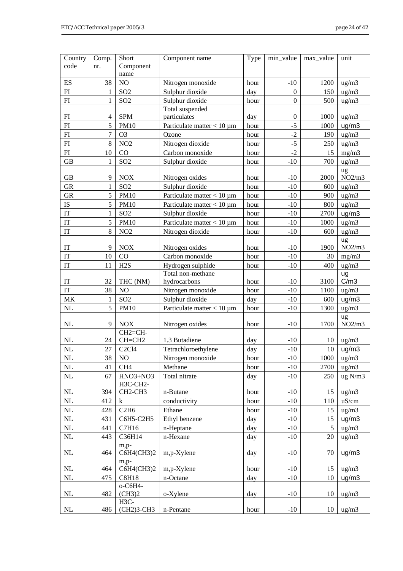| Country                           | Comp.                    | Short                            | Component name                  | Type | min value        | max_value | unit              |
|-----------------------------------|--------------------------|----------------------------------|---------------------------------|------|------------------|-----------|-------------------|
| code                              | nr.                      | Component                        |                                 |      |                  |           |                   |
|                                   |                          | name                             |                                 |      |                  |           |                   |
| ES                                | 38                       | NO                               | Nitrogen monoxide               | hour | $-10$            | 1200      | ug/m3             |
| ${\rm FI}$                        | 1                        | SO <sub>2</sub>                  | Sulphur dioxide                 | day  | $\boldsymbol{0}$ | 150       | ug/m3             |
| FI                                | $\mathbf{1}$             | SO <sub>2</sub>                  | Sulphur dioxide                 | hour | $\boldsymbol{0}$ | 500       | ug/m3             |
|                                   |                          |                                  | Total suspended                 |      |                  |           |                   |
| ${\rm FI}$                        | $\overline{\mathcal{A}}$ | <b>SPM</b>                       | particulates                    | day  | $\boldsymbol{0}$ | 1000      | ug/m3             |
| ${\rm FI}$                        | 5                        | <b>PM10</b>                      | Particulate matter $< 10 \mu m$ | hour | $-5$             | 1000      | ug/m3             |
| ${\rm FI}$                        | 7                        | O <sub>3</sub>                   | Ozone                           | hour | $-2$             | 190       | $\text{ug/m3}$    |
| ${\rm FI}$                        | 8                        | NO <sub>2</sub>                  | Nitrogen dioxide                | hour | $-5$             | 250       | ug/m3             |
| ${\rm FI}$                        | 10                       | CO                               | Carbon monoxide                 | hour | $-2$             | 15        | mg/m3             |
| <b>GB</b>                         | $\mathbf{1}$             | SO <sub>2</sub>                  | Sulphur dioxide                 | hour | $-10$            | 700       | ug/m3             |
|                                   |                          |                                  |                                 |      |                  |           | ug                |
| GB                                | 9                        | <b>NOX</b>                       | Nitrogen oxides                 | hour | $-10$            | 2000      | NO2/m3            |
| <b>GR</b>                         | $\mathbf{1}$             | SO <sub>2</sub>                  | Sulphur dioxide                 | hour | $-10$            | 600       | ug/m3             |
| <b>GR</b>                         | 5                        | <b>PM10</b>                      | Particulate matter $< 10 \mu m$ | hour | $-10$            | 900       | ug/m3             |
| ${\rm IS}$                        | 5                        | <b>PM10</b>                      | Particulate matter $< 10 \mu m$ | hour | $-10$            | 800       | $\frac{ug}{m3}$   |
| $\ensuremath{\mathsf{IT}}$        | $\mathbf{1}$             | SO <sub>2</sub>                  | Sulphur dioxide                 | hour | $-10$            | 2700      | ug/m3             |
| $\operatorname{IT}$               | 5                        | <b>PM10</b>                      | Particulate matter $< 10 \mu m$ | hour | $-10$            | 1000      | ug/m3             |
| $\ensuremath{\text{IT}}$          | 8                        | NO <sub>2</sub>                  | Nitrogen dioxide                | hour | $-10$            | 600       | $\frac{ug}{m3}$   |
|                                   |                          |                                  |                                 |      |                  |           | ug                |
| $\operatorname{IT}$               | 9                        | <b>NOX</b>                       | Nitrogen oxides                 | hour | $-10$            | 1900      | NO2/m3            |
| IT                                | 10                       | CO                               | Carbon monoxide                 | hour | $-10$            | 30        | mg/m3             |
| IT                                | 11                       | H <sub>2</sub> S                 | Hydrogen sulphide               | hour | $-10$            | 400       | $\mu$ g/m $3$     |
|                                   |                          |                                  | Total non-methane               |      |                  |           | ug                |
| $\ensuremath{\text{IT}}$          | 32                       | THC (NM)                         | hydrocarbons                    | hour | $-10$            | 3100      | C/m3              |
| IT                                | 38                       | NO                               | Nitrogen monoxide               | hour | $-10$            | 1100      | $\text{ug/m3}$    |
| $\ensuremath{\mathbf{MK}}\xspace$ | 1                        | SO <sub>2</sub>                  | Sulphur dioxide                 | day  | $-10$            | 600       | ug/m3             |
| $\rm NL$                          | 5                        | <b>PM10</b>                      | Particulate matter $< 10 \mu m$ | hour | $-10$            | 1300      | ug/m3             |
|                                   |                          |                                  |                                 |      |                  |           | ug                |
| NL                                | 9                        | <b>NOX</b>                       | Nitrogen oxides                 | hour | $-10$            | 1700      | NO2/m3            |
|                                   |                          | CH <sub>2</sub> =CH-             |                                 |      |                  |           |                   |
| NL                                | 24                       | $CH=CH2$                         | 1.3 Butadiene                   | day  | $-10$            | 10        | $\mu$ g/m $3$     |
| $\rm NL$                          | 27                       | C <sub>2</sub> C <sub>14</sub>   | Tetrachloroethylene             | day  | $-10$            | 10        | ug/m3             |
| $\rm NL$                          | 38                       | NO <sub>1</sub>                  | Nitrogen monoxide               | hour | $-10$            | 1000      | ug/m3             |
| $\rm NL$                          | 41                       | CH <sub>4</sub>                  | Methane                         | hour | $-10$            | 2700      | $\text{ug/m3}$    |
| $\rm NL$                          | 67                       | HNO3+NO3                         | Total nitrate                   | day  | $-10$            | 250       | $\text{ug } N/m3$ |
|                                   |                          | H3C-CH2-                         |                                 |      |                  |           |                   |
| NL                                | 394                      | CH <sub>2</sub> -CH <sub>3</sub> | n-Butane                        | hour | $-10$            | 15        | $\frac{ug}{m3}$   |
| NL                                | 412                      | $\bf k$                          | conductivity                    | hour | $-10$            | 110       | uS/cm             |
| $\rm NL$                          | 428                      | C2H6                             | Ethane                          | hour | $-10$            | 15        | ug/m3             |
| $\rm NL$                          | 431                      | C6H5-C2H5                        | Ethyl benzene                   | day  | $-10$            | 15        | ug/m3             |
| NL                                | 441                      | C7H16                            | n-Heptane                       | day  | $-10$            | 5         | $\frac{ug}{m3}$   |
| NL                                | 443                      | C36H14                           | n-Hexane                        | day  | $-10$            | 20        | $\frac{ug}{m3}$   |
|                                   |                          | m,p-                             |                                 |      |                  |           |                   |
| NL                                | 464                      | C6H4(CH3)2                       | m,p-Xylene                      | day  | $-10$            | 70        | ug/m3             |
|                                   |                          | m,p-                             |                                 |      |                  |           |                   |
| $\rm NL$                          | 464                      | C6H4(CH3)2                       | m,p-Xylene                      | hour | $-10$            | 15        | $\frac{ug}{m3}$   |
| $\rm NL$                          | 475                      | <b>C8H18</b>                     | n-Octane                        | day  | $-10$            | 10        | ug/m3             |
|                                   |                          | o-C6H4-                          |                                 |      |                  |           |                   |
| NL                                | 482                      | (CH3)2                           | o-Xylene                        | day  | $-10$            | 10        | ug/m3             |
|                                   |                          | H3C-                             |                                 |      |                  |           |                   |
| $\rm NL$                          | 486                      | (CH2)3-CH3                       | n-Pentane                       | hour | $-10$            | 10        | $\frac{ug}{m3}$   |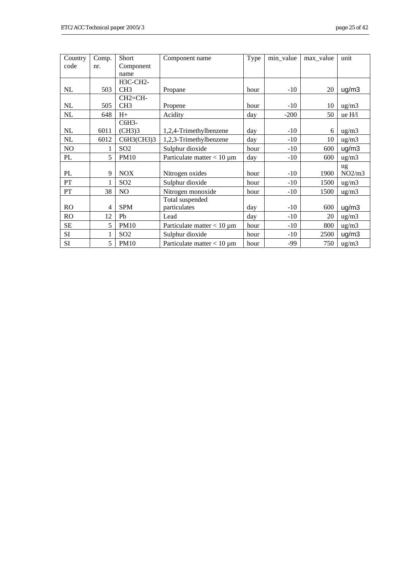| Country   | Comp.        | Short                | Component name                  | Type | min_value | max value | unit                |
|-----------|--------------|----------------------|---------------------------------|------|-----------|-----------|---------------------|
| code      | nr.          | Component            |                                 |      |           |           |                     |
|           |              | name                 |                                 |      |           |           |                     |
|           |              | H3C-CH2-             |                                 |      |           |           |                     |
| NL        | 503          | CH <sub>3</sub>      | Propane                         | hour | $-10$     | 20        | ug/m3               |
|           |              | CH <sub>2</sub> =CH- |                                 |      |           |           |                     |
| NL        | 505          | CH <sub>3</sub>      | Propene                         | hour | $-10$     | 10        | $\mu$ g/m $\lambda$ |
| NL        | 648          | $H+$                 | Acidity                         | day  | $-200$    | 50        | ue H/l              |
|           |              | C6H3-                |                                 |      |           |           |                     |
| NL        | 6011         | (CH3)3               | 1,2,4-Trimethylbenzene          | day  | $-10$     | 6         | $\text{ug/m3}$      |
| NL        | 6012         | C6H3(CH3)3           | 1,2,3-Trimethylbenzene          | day  | $-10$     | 10        | ug/m3               |
| NO        | 1            | SO <sub>2</sub>      | Sulphur dioxide                 | hour | $-10$     | 600       | ug/m3               |
| PL        | 5            | <b>PM10</b>          | Particulate matter $< 10 \mu m$ | day  | $-10$     | 600       | $\mu$ g/m $\lambda$ |
|           |              |                      |                                 |      |           |           | ug                  |
| PL        | 9            | <b>NOX</b>           | Nitrogen oxides                 | hour | $-10$     | 1900      | NO2/m3              |
| PT        | 1            | SO <sub>2</sub>      | Sulphur dioxide                 | hour | $-10$     | 1500      | $\mu$ g/m $\lambda$ |
| PT        | 38           | N <sub>O</sub>       | Nitrogen monoxide               | hour | $-10$     | 1500      | $\text{ug/m3}$      |
|           |              |                      | Total suspended                 |      |           |           |                     |
| <b>RO</b> | 4            | <b>SPM</b>           | particulates                    | day  | $-10$     | 600       | ug/m3               |
| <b>RO</b> | 12           | Pb                   | Lead                            | day  | $-10$     | 20        | ug/m3               |
| SЕ        | 5            | <b>PM10</b>          | Particulate matter $< 10 \mu m$ | hour | $-10$     | 800       | $\frac{ug}{m3}$     |
| SI        | $\mathbf{1}$ | SO <sub>2</sub>      | Sulphur dioxide                 | hour | $-10$     | 2500      | ug/m3               |
| SI        | 5            | <b>PM10</b>          | Particulate matter $< 10 \mu m$ | hour | $-99$     | 750       | $\frac{ug}{m3}$     |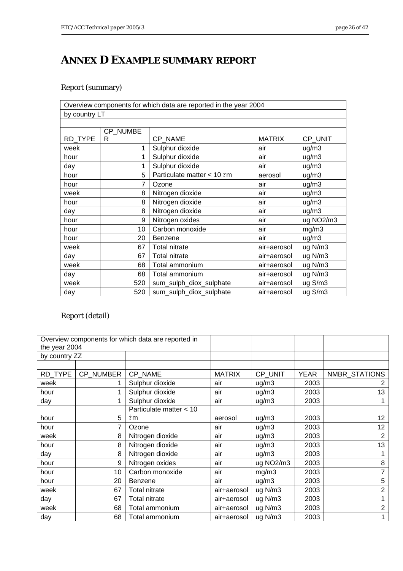# <span id="page-25-0"></span>**ANNEX D EXAMPLE SUMMARY REPORT**

#### Report (summary)

|               |          | Overview components for which data are reported in the year 2004 |               |           |  |  |  |  |
|---------------|----------|------------------------------------------------------------------|---------------|-----------|--|--|--|--|
| by country LT |          |                                                                  |               |           |  |  |  |  |
|               |          |                                                                  |               |           |  |  |  |  |
|               | CP NUMBE |                                                                  |               |           |  |  |  |  |
| RD_TYPE       | R        | CP NAME                                                          | <b>MATRIX</b> | CP_UNIT   |  |  |  |  |
| week          |          | Sulphur dioxide                                                  | air           | ug/m3     |  |  |  |  |
| hour          | 1        | Sulphur dioxide                                                  | air           | ug/m3     |  |  |  |  |
| day           | 1        | Sulphur dioxide                                                  | air           | ug/m3     |  |  |  |  |
| hour          | 5        | Particulate matter < 10 $\text{\texttt{m}}$                      | aerosol       | ug/m3     |  |  |  |  |
| hour          | 7        | Ozone                                                            | air           | uq/m3     |  |  |  |  |
| week          | 8        | Nitrogen dioxide                                                 | air           | ug/m3     |  |  |  |  |
| hour          | 8        | Nitrogen dioxide                                                 | air           | ug/m3     |  |  |  |  |
| day           | 8        | Nitrogen dioxide                                                 | air           | ug/m3     |  |  |  |  |
| hour          | 9        | Nitrogen oxides                                                  | air           | ug NO2/m3 |  |  |  |  |
| hour          | 10       | Carbon monoxide                                                  | air           | mg/m3     |  |  |  |  |
| hour          | 20       | <b>Benzene</b>                                                   | air           | ug/m3     |  |  |  |  |
| week          | 67       | <b>Total nitrate</b>                                             | air+aerosol   | ug N/m3   |  |  |  |  |
| day           | 67       | <b>Total nitrate</b>                                             | air+aerosol   | ug N/m3   |  |  |  |  |
| week          | 68       | Total ammonium                                                   | air+aerosol   | ug N/m3   |  |  |  |  |
| day           | 68       | Total ammonium                                                   | air+aerosol   | ug N/m3   |  |  |  |  |
| week          | 520      | sum_sulph_diox_sulphate                                          | air+aerosol   | ug S/m3   |  |  |  |  |
| day           | 520      | sum_sulph_diox_sulphate                                          | air+aerosol   | ug S/m3   |  |  |  |  |

#### Report (detail)

|               | Overview components for which data are reported in |                         |               |                                    |             |               |
|---------------|----------------------------------------------------|-------------------------|---------------|------------------------------------|-------------|---------------|
| the year 2004 |                                                    |                         |               |                                    |             |               |
| by country ZZ |                                                    |                         |               |                                    |             |               |
|               |                                                    |                         |               |                                    |             |               |
| RD_TYPE       | <b>CP NUMBER</b>                                   | CP NAME                 | <b>MATRIX</b> | CP UNIT                            | <b>YEAR</b> | NMBR_STATIONS |
| week          |                                                    | Sulphur dioxide         | air           | uq/m3                              | 2003        |               |
| hour          |                                                    | Sulphur dioxide         | air           | uq/m3                              | 2003        | 13            |
| day           | 1                                                  | Sulphur dioxide         | air           | ug/m3                              | 2003        |               |
|               |                                                    | Particulate matter < 10 |               |                                    |             |               |
| hour          | 5                                                  | <u>া</u>                | aerosol       | uq/m3                              | 2003        | 12            |
| hour          |                                                    | Ozone                   | air           | uq/m3                              | 2003        | 12            |
| week          | 8                                                  | Nitrogen dioxide        | air           | uq/m3                              | 2003        | 2             |
| hour          | 8                                                  | Nitrogen dioxide        | air           | ug/m3                              | 2003        | 13            |
| day           | 8                                                  | Nitrogen dioxide        | air           | uq/m3                              | 2003        |               |
| hour          | 9                                                  | Nitrogen oxides         | air           | ug NO <sub>2</sub> /m <sub>3</sub> | 2003        | 8             |
| hour          | 10                                                 | Carbon monoxide         | air           | mg/m3                              | 2003        |               |
| hour          | 20                                                 | <b>Benzene</b>          | air           | uq/m3                              | 2003        | 5             |
| week          | 67                                                 | <b>Total nitrate</b>    | air+aerosol   | ug N/m3                            | 2003        | 2             |
| day           | 67                                                 | <b>Total nitrate</b>    | air+aerosol   | ug N/m3                            | 2003        |               |
| week          | 68                                                 | Total ammonium          | air+aerosol   | ug N/m3                            | 2003        | 2             |
| day           | 68                                                 | Total ammonium          | air+aerosol   | $ug$ N/m $3$                       | 2003        |               |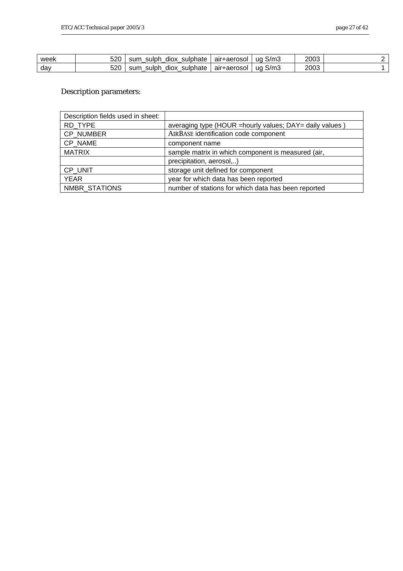| week | 520 | sulphate<br>sum<br>sulph<br>diox | air+aerosol | ug S/m3 | 2003 |  |
|------|-----|----------------------------------|-------------|---------|------|--|
| day  | 520 | sulphate<br>sum<br>diox<br>sulph | air+aerosol | uqS/m3  | 2003 |  |

#### Description parameters:

| Description fields used in sheet: |                                                           |
|-----------------------------------|-----------------------------------------------------------|
| RD_TYPE                           | averaging type (HOUR = hourly values; DAY = daily values) |
| CP NUMBER                         | AIRBASE identification code component                     |
| CP NAME                           | component name                                            |
| <b>MATRIX</b>                     | sample matrix in which component is measured (air,        |
|                                   | precipitation, aerosol,)                                  |
| CP UNIT                           | storage unit defined for component                        |
| <b>YEAR</b>                       | year for which data has been reported                     |
| NMBR STATIONS                     | number of stations for which data has been reported       |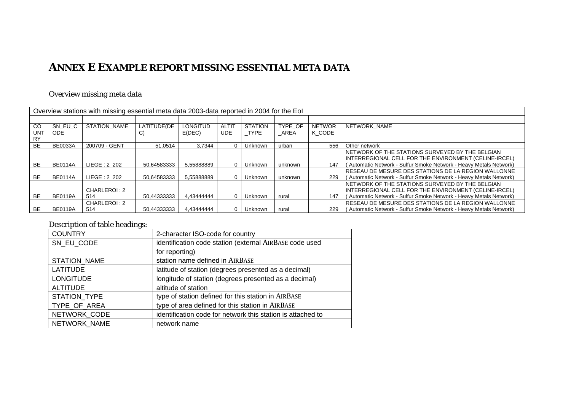### **ANNEX E EXAMPLE REPORT MISSING ESSENTIAL META DATA**

#### Overview missing meta data

|                  | Overview stations with missing essential meta data 2003-data reported in 2004 for the Eol |                     |             |                 |              |                |         |               |                                                                   |  |  |
|------------------|-------------------------------------------------------------------------------------------|---------------------|-------------|-----------------|--------------|----------------|---------|---------------|-------------------------------------------------------------------|--|--|
|                  |                                                                                           |                     |             |                 |              |                |         |               |                                                                   |  |  |
| <b>CO</b>        | SN EU C                                                                                   | <b>STATION NAME</b> | LATITUDE(DE | <b>LONGITUD</b> | <b>ALTIT</b> | <b>STATION</b> | TYPE OF | <b>NETWOR</b> | NETWORK NAME                                                      |  |  |
| UNT<br><b>RY</b> | ODE.                                                                                      |                     | ا ب         | E(DEC)          | <b>UDE</b>   | TYPE           | AREA    | K CODE        |                                                                   |  |  |
|                  |                                                                                           |                     |             |                 |              |                |         |               |                                                                   |  |  |
| <b>BE</b>        | <b>BE0033A</b>                                                                            | 200709 - GENT       | 51.0514     | 3.7344          |              | Unknown        | urban   | 556           | Other network                                                     |  |  |
|                  |                                                                                           |                     |             |                 |              |                |         |               | NETWORK OF THE STATIONS SURVEYED BY THE BELGIAN                   |  |  |
|                  |                                                                                           |                     |             |                 |              |                |         |               | INTERREGIONAL CELL FOR THE ENVIRONMENT (CELINE-IRCEL)             |  |  |
| <b>BE</b>        | <b>BE0114A</b>                                                                            | LIEGE: 2 202        | 50.64583333 | 5.55888889      | $\Omega$     | Unknown        | unknown | 147           | (Automatic Network - Sulfur Smoke Network - Heavy Metals Network) |  |  |
|                  |                                                                                           |                     |             |                 |              |                |         |               | RESEAU DE MESURE DES STATIONS DE LA REGION WALLONNE               |  |  |
| <b>BE</b>        | <b>BE0114A</b>                                                                            | LIEGE: 2 202        | 50,64583333 | 5,55888889      | 0            | Unknown        | unknown | 229           | (Automatic Network - Sulfur Smoke Network - Heavy Metals Network) |  |  |
|                  |                                                                                           |                     |             |                 |              |                |         |               | NETWORK OF THE STATIONS SURVEYED BY THE BELGIAN                   |  |  |
|                  |                                                                                           | CHARLEROI: 2        |             |                 |              |                |         |               | INTERREGIONAL CELL FOR THE ENVIRONMENT (CELINE-IRCEL)             |  |  |
| <b>BE</b>        | <b>BE0119A</b>                                                                            | 514                 | 50,44333333 | 4.43444444      | $\Omega$     | Unknown        | rural   | 147           | (Automatic Network - Sulfur Smoke Network - Heavy Metals Network) |  |  |
|                  |                                                                                           | CHARLEROI: 2        |             |                 |              |                |         |               | RESEAU DE MESURE DES STATIONS DE LA REGION WALLONNE               |  |  |
| <b>BE</b>        | <b>BE0119A</b>                                                                            | 514                 | 50.44333333 | 4.43444444      | $\Omega$     | Unknown        | rural   | 229           | (Automatic Network - Sulfur Smoke Network - Heavy Metals Network) |  |  |

#### Description of table headings:

<span id="page-27-0"></span>

| <b>COUNTRY</b>      | 2-character ISO-code for country                            |
|---------------------|-------------------------------------------------------------|
| SN EU CODE          | identification code station (external AIRBASE code used     |
|                     | for reporting)                                              |
| <b>STATION NAME</b> | station name defined in AIRBASE                             |
| <b>LATITUDE</b>     | latitude of station (degrees presented as a decimal)        |
| <b>LONGITUDE</b>    | longitude of station (degrees presented as a decimal)       |
| <b>ALTITUDE</b>     | altitude of station                                         |
| STATION TYPE        | type of station defined for this station in AIRBASE         |
| TYPE OF AREA        | type of area defined for this station in AIRBASE            |
| NETWORK CODE        | identification code for network this station is attached to |
| NETWORK NAME        | network name                                                |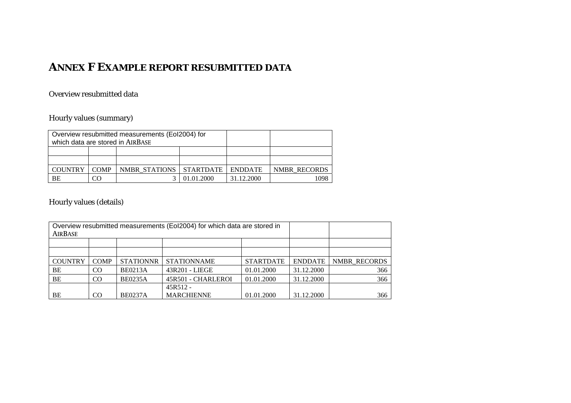### **ANNEX F EXAMPLE REPORT RESUBMITTED DATA**

#### Overview resubmitted data

#### Hourly values (summary)

|                                  |             | Overview resubmitted measurements (Eol2004) for |            |            |              |
|----------------------------------|-------------|-------------------------------------------------|------------|------------|--------------|
| which data are stored in AIRBASE |             |                                                 |            |            |              |
|                                  |             |                                                 |            |            |              |
|                                  |             |                                                 |            |            |              |
| COUNTRY                          | <b>COMP</b> | NMBR STATIONS STARTDATE ENDDATE                 |            |            | NMBR RECORDS |
| BE                               | CO          |                                                 | 01.01.2000 | 31.12.2000 | 098          |

#### Hourly values (details)

<span id="page-28-0"></span>

| Overview resubmitted measurements (EoI2004) for which data are stored in |                |                  |                    |                  |                |                     |
|--------------------------------------------------------------------------|----------------|------------------|--------------------|------------------|----------------|---------------------|
| AIRBASE                                                                  |                |                  |                    |                  |                |                     |
|                                                                          |                |                  |                    |                  |                |                     |
|                                                                          |                |                  |                    |                  |                |                     |
| <b>COUNTRY</b>                                                           | <b>COMP</b>    | <b>STATIONNR</b> | <b>STATIONNAME</b> | <b>STARTDATE</b> | <b>ENDDATE</b> | <b>NMBR RECORDS</b> |
| BE                                                                       | <sub>CO</sub>  | <b>BE0213A</b>   | 43R201 - LIEGE     | 01.01.2000       | 31.12.2000     | 366                 |
| BE                                                                       | <sub>CO</sub>  | <b>BE0235A</b>   | 45R501 - CHARLEROI | 01.01.2000       | 31.12.2000     | 366                 |
|                                                                          |                |                  |                    |                  |                |                     |
| BE                                                                       | C <sub>O</sub> | <b>BE0237A</b>   | <b>MARCHIENNE</b>  | 01.01.2000       | 31.12.2000     | 366                 |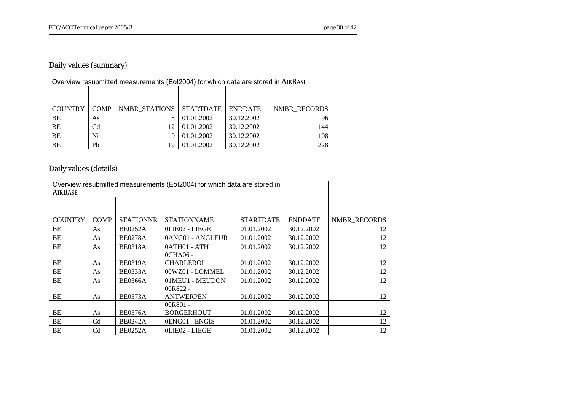#### Daily values (summary)

| Overview resubmitted measurements (Eol2004) for which data are stored in AIRBASE |                |                      |                  |                |              |  |  |  |  |  |
|----------------------------------------------------------------------------------|----------------|----------------------|------------------|----------------|--------------|--|--|--|--|--|
|                                                                                  |                |                      |                  |                |              |  |  |  |  |  |
|                                                                                  |                |                      |                  |                |              |  |  |  |  |  |
| <b>COUNTRY</b>                                                                   | <b>COMP</b>    | <b>NMBR STATIONS</b> | <b>STARTDATE</b> | <b>ENDDATE</b> | NMBR RECORDS |  |  |  |  |  |
| BE                                                                               | As             |                      | 01.01.2002       | 30.12.2002     | 96           |  |  |  |  |  |
| <b>BE</b>                                                                        | C <sub>d</sub> | 12                   | 01.01.2002       | 30.12.2002     | 144          |  |  |  |  |  |
| <b>BE</b>                                                                        | Ni             |                      | 01.01.2002       | 30.12.2002     | 108          |  |  |  |  |  |
| <b>BE</b>                                                                        | Pb             | 19                   | 01.01.2002       | 30.12.2002     | 228          |  |  |  |  |  |

## Daily values (details)

| AIRBASE        |                | Overview resubmitted measurements (EoI2004) for which data are stored in |                    |                  |                |                     |
|----------------|----------------|--------------------------------------------------------------------------|--------------------|------------------|----------------|---------------------|
|                |                |                                                                          |                    |                  |                |                     |
|                |                |                                                                          |                    |                  |                |                     |
| <b>COUNTRY</b> | <b>COMP</b>    | <b>STATIONNR</b>                                                         | <b>STATIONNAME</b> | <b>STARTDATE</b> | <b>ENDDATE</b> | <b>NMBR RECORDS</b> |
| BE             | As             | <b>BE0252A</b>                                                           | OLIEO2 - LIEGE     | 01.01.2002       | 30.12.2002     | 12                  |
| BE             | As             | <b>BE0278A</b>                                                           | 0ANG01 - ANGLEUR   | 01.01.2002       | 30.12.2002     | 12                  |
| BE             | As             | <b>BE0318A</b>                                                           | 0ATH01 - ATH       | 01.01.2002       | 30.12.2002     | 12                  |
|                |                |                                                                          | 0CHA06 -           |                  |                |                     |
| BE             | As             | <b>BE0319A</b>                                                           | <b>CHARLEROI</b>   | 01.01.2002       | 30.12.2002     | 12                  |
| BE             | As             | <b>BE0333A</b>                                                           | 00WZ01 - LOMMEL    | 01.01.2002       | 30.12.2002     | 12                  |
| BE             | As             | <b>BE0366A</b>                                                           | 01MEU1 - MEUDON    | 01.01.2002       | 30.12.2002     | 12                  |
|                |                |                                                                          | $00R822 -$         |                  |                |                     |
| BE             | As             | <b>BE0373A</b>                                                           | <b>ANTWERPEN</b>   | 01.01.2002       | 30.12.2002     | 12                  |
|                |                |                                                                          | 00R801 -           |                  |                |                     |
| BE             | As             | <b>BE0376A</b>                                                           | <b>BORGERHOUT</b>  | 01.01.2002       | 30.12.2002     | 12                  |
| BE             | C <sub>d</sub> | <b>BE0242A</b>                                                           | 0ENG01 - ENGIS     | 01.01.2002       | 30.12.2002     | 12                  |
| BE             | C <sub>d</sub> | <b>BE0252A</b>                                                           | OLIEO2 - LIEGE     | 01.01.2002       | 30.12.2002     | 12                  |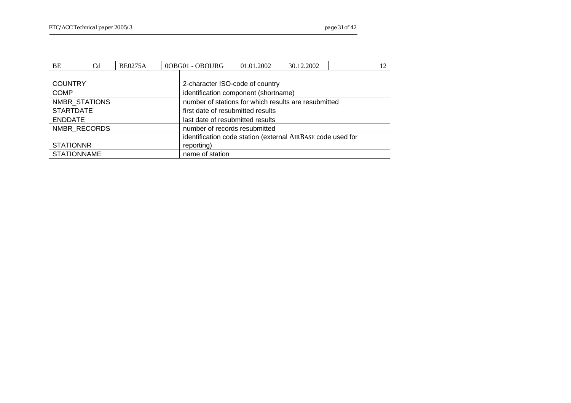| BE                                    | C <sub>d</sub> | <b>BE0275A</b> |  | 0OBG01 - OBOURG                                             | 01.01.2002                        | 30.12.2002 | 12 |  |  |  |  |  |
|---------------------------------------|----------------|----------------|--|-------------------------------------------------------------|-----------------------------------|------------|----|--|--|--|--|--|
|                                       |                |                |  |                                                             |                                   |            |    |  |  |  |  |  |
| <b>COUNTRY</b>                        |                |                |  |                                                             | 2-character ISO-code of country   |            |    |  |  |  |  |  |
| <b>COMP</b>                           |                |                |  | identification component (shortname)                        |                                   |            |    |  |  |  |  |  |
| NMBR STATIONS                         |                |                |  | number of stations for which results are resubmitted        |                                   |            |    |  |  |  |  |  |
| <b>STARTDATE</b>                      |                |                |  |                                                             | first date of resubmitted results |            |    |  |  |  |  |  |
| <b>ENDDATE</b>                        |                |                |  | last date of resubmitted results                            |                                   |            |    |  |  |  |  |  |
| NMBR RECORDS                          |                |                |  | number of records resubmitted                               |                                   |            |    |  |  |  |  |  |
|                                       |                |                |  | identification code station (external AIRBASE code used for |                                   |            |    |  |  |  |  |  |
| <b>STATIONNR</b><br>reporting)        |                |                |  |                                                             |                                   |            |    |  |  |  |  |  |
| <b>STATIONNAME</b><br>name of station |                |                |  |                                                             |                                   |            |    |  |  |  |  |  |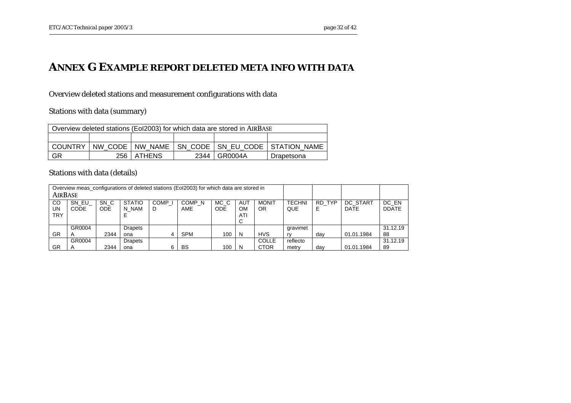#### **ANNEX G EXAMPLE REPORT DELETED META INFO WITH DATA**

Overview deleted stations and measurement configurations with data

Stations with data (summary)

| Overview deleted stations (Eol2003) for which data are stored in AIRBASE |                                                          |  |  |  |  |  |  |  |  |
|--------------------------------------------------------------------------|----------------------------------------------------------|--|--|--|--|--|--|--|--|
|                                                                          |                                                          |  |  |  |  |  |  |  |  |
| <b>COUNTRY</b>                                                           | NW CODE   NW NAME<br>SN CODE   SN EU CODE   STATION NAME |  |  |  |  |  |  |  |  |
| GR                                                                       | 256   ATHENS<br>GR0004A<br>2344<br>Drapetsona            |  |  |  |  |  |  |  |  |

Stations with data (details)

<span id="page-31-0"></span>

| Overview meas configurations of deleted stations (Eol2003) for which data are stored in |        |            |                |                   |                   |      |           |              |               |        |                 |              |
|-----------------------------------------------------------------------------------------|--------|------------|----------------|-------------------|-------------------|------|-----------|--------------|---------------|--------|-----------------|--------------|
| AIRBASE                                                                                 |        |            |                |                   |                   |      |           |              |               |        |                 |              |
| CO                                                                                      | SN EU  | SN C       | <b>STATIO</b>  | COMP <sub>I</sub> | COMP <sub>N</sub> | MC C | AUT       | <b>MONIT</b> | <b>TECHNI</b> | RD TYP | <b>DC START</b> | DC EN        |
| UN                                                                                      | CODE   | <b>ODE</b> | N NAM          | D                 | AME               | ODE  | <b>OM</b> | <b>OR</b>    | QUE           | Е      | <b>DATE</b>     | <b>DDATE</b> |
| <b>TRY</b>                                                                              |        |            |                |                   |                   |      | ATI       |              |               |        |                 |              |
|                                                                                         |        |            |                |                   |                   |      | С         |              |               |        |                 |              |
|                                                                                         | GR0004 |            | <b>Drapets</b> |                   |                   |      |           |              | aravimet      |        |                 | 31.12.19     |
| <b>HVS</b><br><b>SPM</b><br>GR<br>100<br>2344<br>N<br>ona<br>4                          |        |            |                |                   |                   |      |           |              | rv            | day    | 01.01.1984      | 88           |
| COLLE<br>GR0004<br><b>Drapets</b>                                                       |        |            |                |                   |                   |      |           |              | reflecto      |        |                 | 31.12.19     |
| GR                                                                                      |        | 2344       | ona            |                   | BS                | 100  | N         | <b>CTOR</b>  | metry         | dav    | 01.01.1984      | 89           |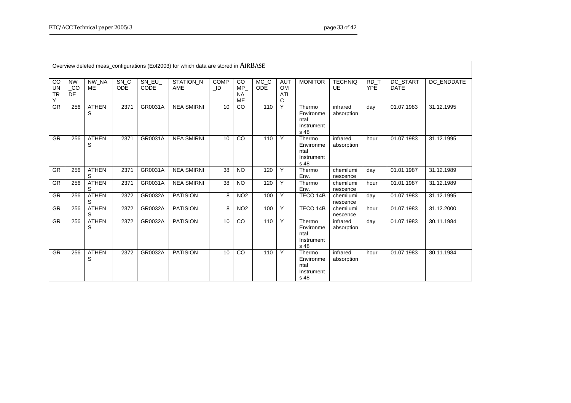|                            |                              |                    |                    |               | Overview deleted meas_configurations (EoI2003) for which data are stored in AIRBASE |                        |                              |                                 |                                     |                                                   |                        |                    |                         |            |
|----------------------------|------------------------------|--------------------|--------------------|---------------|-------------------------------------------------------------------------------------|------------------------|------------------------------|---------------------------------|-------------------------------------|---------------------------------------------------|------------------------|--------------------|-------------------------|------------|
| CO<br>UN<br><b>TR</b><br>Υ | <b>NW</b><br>CO<br><b>DE</b> | NW NA<br><b>ME</b> | SN_C<br><b>ODE</b> | SN EU<br>CODE | STATION_N<br><b>AME</b>                                                             | <b>COMP</b><br>$\_$ ID | CO<br>MP.<br><b>NA</b><br>ME | $MC$ <sub>C</sub><br><b>ODE</b> | <b>AUT</b><br><b>OM</b><br>ATI<br>C | <b>MONITOR</b>                                    | <b>TECHNIQ</b><br>UE   | RD T<br><b>YPE</b> | DC START<br><b>DATE</b> | DC ENDDATE |
| <b>GR</b>                  | 256                          | <b>ATHEN</b><br>S  | 2371               | GR0031A       | <b>NEA SMIRNI</b>                                                                   | 10                     | CO                           | 110                             | Y                                   | Thermo<br>Environme<br>ntal<br>Instrument<br>s 48 | infrared<br>absorption | day                | 01.07.1983              | 31.12.1995 |
| <b>GR</b>                  | 256                          | <b>ATHEN</b><br>S  | 2371               | GR0031A       | <b>NEA SMIRNI</b>                                                                   | 10                     | CO                           | 110                             | Y                                   | Thermo<br>Environme<br>ntal<br>Instrument<br>s 48 | infrared<br>absorption | hour               | 01.07.1983              | 31.12.1995 |
| <b>GR</b>                  | 256                          | <b>ATHEN</b><br>S  | 2371               | GR0031A       | <b>NEA SMIRNI</b>                                                                   | 38                     | <b>NO</b>                    | 120                             | Y                                   | Thermo<br>Env.                                    | chemilumi<br>nescence  | day                | 01.01.1987              | 31.12.1989 |
| <b>GR</b>                  | 256                          | <b>ATHEN</b><br>S  | 2371               | GR0031A       | <b>NEA SMIRNI</b>                                                                   | 38                     | <b>NO</b>                    | 120                             | Y                                   | Thermo<br>Env.                                    | chemilumi<br>nescence  | hour               | $\overline{01.01}.1987$ | 31.12.1989 |
| GR                         | 256                          | <b>ATHEN</b><br>S  | 2372               | GR0032A       | <b>PATISION</b>                                                                     | 8                      | NO <sub>2</sub>              | 100                             | Y                                   | TECO 14B                                          | chemilumi<br>nescence  | day                | 01.07.1983              | 31.12.1995 |
| GR                         | 256                          | <b>ATHEN</b><br>S  | 2372               | GR0032A       | <b>PATISION</b>                                                                     | 8                      | NO <sub>2</sub>              | 100                             | Y                                   | TECO 14B                                          | chemilumi<br>nescence  | hour               | 01.07.1983              | 31.12.2000 |
| <b>GR</b>                  | 256                          | <b>ATHEN</b><br>S  | 2372               | GR0032A       | <b>PATISION</b>                                                                     | 10                     | CO                           | 110                             | Y                                   | Thermo<br>Environme<br>ntal<br>Instrument<br>s 48 | infrared<br>absorption | day                | 01.07.1983              | 30.11.1984 |
| <b>GR</b>                  | 256                          | <b>ATHEN</b><br>S  | 2372               | GR0032A       | <b>PATISION</b>                                                                     | 10                     | CO                           | 110                             | Y                                   | Thermo<br>Environme<br>ntal<br>Instrument<br>s 48 | infrared<br>absorption | hour               | 01.07.1983              | 30.11.1984 |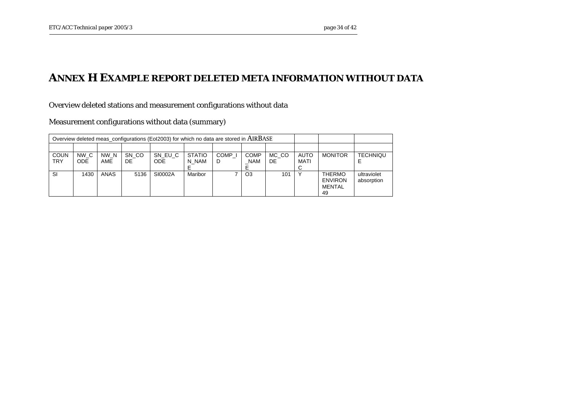#### **ANNEX H EXAMPLE REPORT DELETED META INFORMATION WITHOUT DATA**

Overview deleted stations and measurement configurations without data

Measurement configurations without data (summary)

<span id="page-33-0"></span>

| Overview deleted meas_configurations (Eol2003) for which no data are stored in AIRBASE |              |             |              |                       |                        |                        |                           |              |                            |                                                 |                           |
|----------------------------------------------------------------------------------------|--------------|-------------|--------------|-----------------------|------------------------|------------------------|---------------------------|--------------|----------------------------|-------------------------------------------------|---------------------------|
|                                                                                        |              |             |              |                       |                        |                        |                           |              |                            |                                                 |                           |
| <b>COUN</b><br><b>TRY</b>                                                              | NW C<br>ODE. | NW N<br>AME | SN CO<br>DE. | SN EU C<br><b>ODE</b> | <b>STATIO</b><br>N NAM | COMP <sub>I</sub><br>D | <b>COMP</b><br><b>NAM</b> | MC CO<br>DE. | <b>AUTO</b><br><b>MATI</b> | <b>MONITOR</b>                                  | <b>TECHNIQU</b>           |
| SI                                                                                     | 1430         | ANAS        | 5136         | SI0002A               | <b>Maribor</b>         |                        | O <sub>3</sub>            | 101          | v                          | <b>THERMO</b><br><b>ENVIRON</b><br>MENTAL<br>49 | ultraviolet<br>absorption |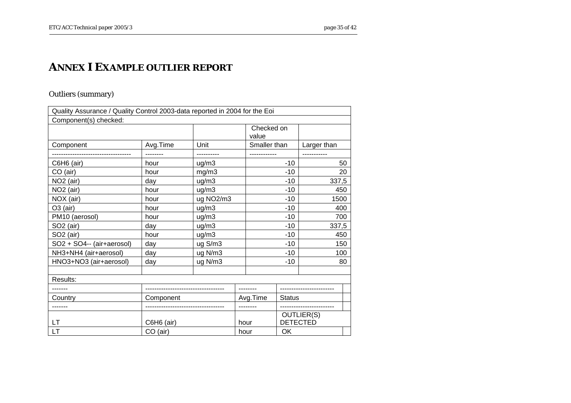#### **ANNEX I EXAMPLE OUTLIER REPORT**

#### Outliers (summary)

<span id="page-34-0"></span>

| Quality Assurance / Quality Control 2003-data reported in 2004 for the Eoi |            |            |       |                     |               |                               |    |
|----------------------------------------------------------------------------|------------|------------|-------|---------------------|---------------|-------------------------------|----|
| Component(s) checked:                                                      |            |            |       |                     |               |                               |    |
|                                                                            |            |            |       | Checked on<br>value |               |                               |    |
| Component                                                                  | Avg.Time   | Unit       |       | Smaller than        |               | Larger than                   |    |
|                                                                            |            | ---------- |       |                     |               |                               |    |
| $C6H6$ (air)                                                               | hour       | ug/m3      |       |                     | $-10$         |                               | 50 |
| CO (air)                                                                   | hour       | mg/m3      |       |                     | $-10$         |                               | 20 |
| NO <sub>2</sub> (air)                                                      | day        | uq/m3      |       |                     | $-10$         | 337,5                         |    |
| NO <sub>2</sub> (air)                                                      | hour       | ug/m3      |       |                     | $-10$         | 450                           |    |
| NOX (air)                                                                  | hour       | ug NO2/m3  |       |                     | $-10$         | 1500                          |    |
| $O3$ (air)                                                                 | hour       | ug/m3      |       |                     | $-10$         | 400                           |    |
| PM10 (aerosol)                                                             | hour       | $ug$ /m3   |       |                     | $-10$         | 700                           |    |
| SO <sub>2</sub> (air)                                                      | day        | ug/m3      |       |                     | $-10$         | 337,5                         |    |
| SO <sub>2</sub> (air)                                                      | hour       | ug/m3      | $-10$ |                     |               | 450                           |    |
| SO2 + SO4-- (air+aerosol)                                                  | day        | ug S/m3    | $-10$ |                     |               | 150                           |    |
| NH3+NH4 (air+aerosol)                                                      | day        | ug N/m3    |       |                     | $-10$         | 100                           |    |
| HNO3+NO3 (air+aerosol)                                                     | day        | ug N/m3    |       |                     | $-10$         |                               | 80 |
|                                                                            |            |            |       |                     |               |                               |    |
| Results:                                                                   |            |            |       |                     |               |                               |    |
| -------                                                                    |            |            |       | --------            |               |                               |    |
| Country                                                                    | Component  |            |       | Avg.Time            | <b>Status</b> |                               |    |
|                                                                            |            |            |       |                     |               | ------------------------      |    |
| <b>LT</b>                                                                  | C6H6 (air) |            |       | hour                |               | OUTLIER(S)<br><b>DETECTED</b> |    |
| <b>LT</b>                                                                  | CO (air)   |            |       | OK<br>hour          |               |                               |    |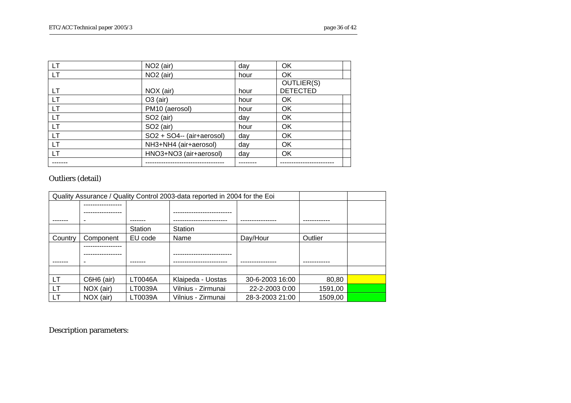| LT        | NO <sub>2</sub> (air)     | day  | <b>OK</b>       |
|-----------|---------------------------|------|-----------------|
| <b>LT</b> | NO <sub>2</sub> (air)     | hour | OK              |
|           |                           |      | OUTLIER(S)      |
| LТ        | NOX (air)                 | hour | <b>DETECTED</b> |
| <b>LT</b> | $O3$ (air)                | hour | OK              |
| <b>LT</b> | PM10 (aerosol)            | hour | OK              |
| <b>LT</b> | SO <sub>2</sub> (air)     | day  | <b>OK</b>       |
| <b>LT</b> | SO <sub>2</sub> (air)     | hour | OK              |
| LT        | SO2 + SO4-- (air+aerosol) | day  | OK              |
| <b>LT</b> | NH3+NH4 (air+aerosol)     | day  | <b>OK</b>       |
| <b>LT</b> | HNO3+NO3 (air+aerosol)    | day  | OK              |
|           |                           |      |                 |

#### Outliers (detail)

| Quality Assurance / Quality Control 2003-data reported in 2004 for the Eoi |              |         |                    |                 |         |  |  |  |
|----------------------------------------------------------------------------|--------------|---------|--------------------|-----------------|---------|--|--|--|
|                                                                            |              |         |                    |                 |         |  |  |  |
|                                                                            |              |         |                    |                 |         |  |  |  |
|                                                                            |              |         |                    |                 |         |  |  |  |
|                                                                            |              | Station | Station            |                 |         |  |  |  |
| Country                                                                    | Component    | EU code | Name               | Day/Hour        | Outlier |  |  |  |
|                                                                            |              |         |                    |                 |         |  |  |  |
|                                                                            |              |         |                    |                 |         |  |  |  |
|                                                                            |              |         |                    |                 |         |  |  |  |
|                                                                            |              |         |                    |                 |         |  |  |  |
| LT                                                                         | $C6H6$ (air) | LT0046A | Klaipeda - Uostas  | 30-6-2003 16:00 | 80,80   |  |  |  |
| LT                                                                         | NOX (air)    | LT0039A | Vilnius - Zirmunai | 22-2-2003 0:00  | 1591,00 |  |  |  |
| LT                                                                         | NOX (air)    | LT0039A | Vilnius - Zirmunai | 28-3-2003 21:00 | 1509,00 |  |  |  |

Description parameters: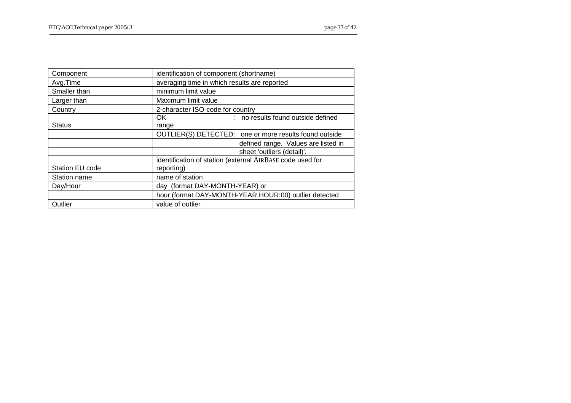| Component       | identification of component (shortname)                   |
|-----------------|-----------------------------------------------------------|
| Avg.Time        | averaging time in which results are reported              |
| Smaller than    | minimum limit value                                       |
| Larger than     | Maximum limit value                                       |
| Country         | 2-character ISO-code for country                          |
|                 | : no results found outside defined<br>OK.                 |
| <b>Status</b>   | range                                                     |
|                 | OUTLIER(S) DETECTED: one or more results found outside    |
|                 | defined range. Values are listed in                       |
|                 | sheet 'outliers (detail)'.                                |
|                 | identification of station (external AIRBASE code used for |
| Station EU code | reporting)                                                |
| Station name    | name of station                                           |
| Day/Hour        | day (format DAY-MONTH-YEAR) or                            |
|                 | hour (format DAY-MONTH-YEAR HOUR:00) outlier detected     |
| Outlier         | value of outlier                                          |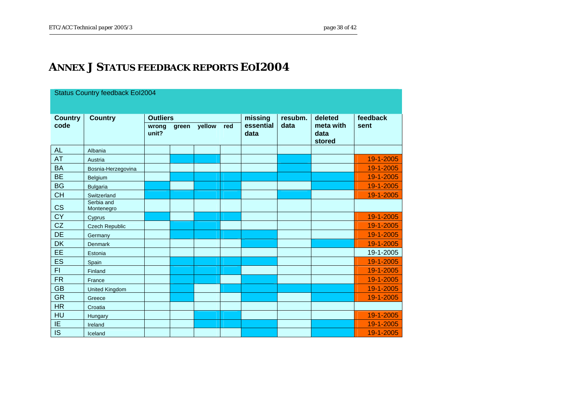#### **ANNEX J STATUS FEEDBACK REPORTS EOI2004**

<span id="page-37-0"></span>

| <b>Status Country feedback Eol2004</b> |                          |                 |       |        |     |                   |         |                             |           |  |
|----------------------------------------|--------------------------|-----------------|-------|--------|-----|-------------------|---------|-----------------------------|-----------|--|
| <b>Country</b>                         | <b>Country</b>           | <b>Outliers</b> |       |        |     | missing           | resubm. | deleted                     | feedback  |  |
| code                                   |                          | wrong<br>unit?  | green | yellow | red | essential<br>data | data    | meta with<br>data<br>stored | sent      |  |
| <b>AL</b>                              | Albania                  |                 |       |        |     |                   |         |                             |           |  |
| <b>AT</b>                              | Austria                  |                 |       |        |     |                   |         |                             | 19-1-2005 |  |
| <b>BA</b>                              | Bosnia-Herzegovina       |                 |       |        |     |                   |         |                             | 19-1-2005 |  |
| <b>BE</b>                              | Belgium                  |                 |       |        |     |                   |         |                             | 19-1-2005 |  |
| <b>BG</b>                              | <b>Bulgaria</b>          |                 |       |        |     |                   |         |                             | 19-1-2005 |  |
| CH                                     | Switzerland              |                 |       |        |     |                   |         |                             | 19-1-2005 |  |
| CS                                     | Serbia and<br>Montenegro |                 |       |        |     |                   |         |                             |           |  |
| <b>CY</b>                              | Cyprus                   |                 |       |        |     |                   |         |                             | 19-1-2005 |  |
| CZ                                     | <b>Czech Republic</b>    |                 |       |        |     |                   |         |                             | 19-1-2005 |  |
| <b>DE</b>                              | Germany                  |                 |       |        |     |                   |         |                             | 19-1-2005 |  |
| DK                                     | <b>Denmark</b>           |                 |       |        |     |                   |         |                             | 19-1-2005 |  |
| EE                                     | Estonia                  |                 |       |        |     |                   |         |                             | 19-1-2005 |  |
| <b>ES</b>                              | Spain                    |                 |       |        |     |                   |         |                             | 19-1-2005 |  |
| F1                                     | Finland                  |                 |       |        |     |                   |         |                             | 19-1-2005 |  |
| <b>FR</b>                              | France                   |                 |       |        |     |                   |         |                             | 19-1-2005 |  |
| <b>GB</b>                              | <b>United Kingdom</b>    |                 |       |        |     |                   |         |                             | 19-1-2005 |  |
| <b>GR</b>                              | Greece                   |                 |       |        |     |                   |         |                             | 19-1-2005 |  |
| HR                                     | Croatia                  |                 |       |        |     |                   |         |                             |           |  |
| HU                                     | Hungary                  |                 |       |        |     |                   |         |                             | 19-1-2005 |  |
| IE                                     | Ireland                  |                 |       |        |     |                   |         |                             | 19-1-2005 |  |
| <b>IS</b>                              | Iceland                  |                 |       |        |     |                   |         |                             | 19-1-2005 |  |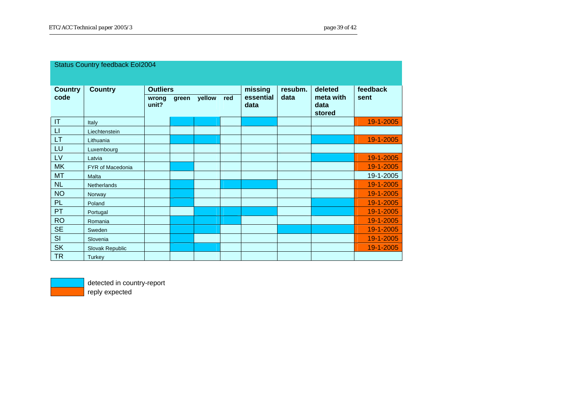| <b>Status Country feedback Eol2004</b> |                    |                                   |       |        |     |                              |                 |                                        |                  |
|----------------------------------------|--------------------|-----------------------------------|-------|--------|-----|------------------------------|-----------------|----------------------------------------|------------------|
|                                        |                    |                                   |       |        |     |                              |                 |                                        |                  |
| <b>Country</b><br>code                 | <b>Country</b>     | <b>Outliers</b><br>wrong<br>unit? | green | yellow | red | missing<br>essential<br>data | resubm.<br>data | deleted<br>meta with<br>data<br>stored | feedback<br>sent |
| IT                                     | Italy              |                                   |       |        |     |                              |                 |                                        | 19-1-2005        |
| $\mathsf{L}$                           | Liechtenstein      |                                   |       |        |     |                              |                 |                                        |                  |
| <b>LT</b>                              | Lithuania          |                                   |       |        |     |                              |                 |                                        | 19-1-2005        |
| LU                                     | Luxembourg         |                                   |       |        |     |                              |                 |                                        |                  |
| LV                                     | Latvia             |                                   |       |        |     |                              |                 |                                        | 19-1-2005        |
| <b>MK</b>                              | FYR of Macedonia   |                                   |       |        |     |                              |                 |                                        | 19-1-2005        |
| <b>MT</b>                              | Malta              |                                   |       |        |     |                              |                 |                                        | 19-1-2005        |
| NL                                     | <b>Netherlands</b> |                                   |       |        |     |                              |                 |                                        | 19-1-2005        |
| <b>NO</b>                              | Norway             |                                   |       |        |     |                              |                 |                                        | 19-1-2005        |
| <b>PL</b>                              | Poland             |                                   |       |        |     |                              |                 |                                        | 19-1-2005        |
| <b>PT</b>                              | Portugal           |                                   |       |        |     |                              |                 |                                        | 19-1-2005        |
| <b>RO</b>                              | Romania            |                                   |       |        |     |                              |                 |                                        | 19-1-2005        |
| <b>SE</b>                              | Sweden             |                                   |       |        |     |                              |                 |                                        | 19-1-2005        |
| SI                                     | Slovenia           |                                   |       |        |     |                              |                 |                                        | 19-1-2005        |
| <b>SK</b>                              | Slovak Republic    |                                   |       |        |     |                              |                 |                                        | 19-1-2005        |
| <b>TR</b>                              | <b>Turkey</b>      |                                   |       |        |     |                              |                 |                                        |                  |



detected in country-report reply expected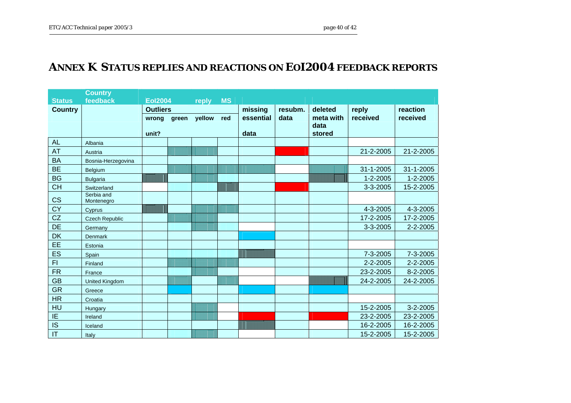#### **ANNEX K STATUS REPLIES AND REACTIONS ON EOI2004 FEEDBACK REPORTS**

<span id="page-39-0"></span>

|                        | <b>Country</b>           |                 |       |         |           |           |       |           |                |                |
|------------------------|--------------------------|-----------------|-------|---------|-----------|-----------|-------|-----------|----------------|----------------|
| <b>Status</b>          | feedback                 | <b>Eol2004</b>  |       | reply   | <b>MS</b> |           |       |           |                |                |
| <b>Country</b>         |                          | <b>Outliers</b> |       | missing | resubm.   | deleted   | reply | reaction  |                |                |
|                        |                          | wrong           | green | yellow  | red       | essential | data  | meta with | received       | received       |
|                        |                          |                 |       |         |           |           |       | data      |                |                |
|                        |                          | unit?           |       |         |           | data      |       | stored    |                |                |
| <b>AL</b>              | Albania                  |                 |       |         |           |           |       |           |                |                |
| <b>AT</b>              | Austria                  |                 |       |         |           |           |       |           | 21-2-2005      | 21-2-2005      |
| <b>BA</b>              | Bosnia-Herzegovina       |                 |       |         |           |           |       |           |                |                |
| <b>BE</b>              | Belgium                  |                 |       |         |           |           |       |           | 31-1-2005      | 31-1-2005      |
| <b>BG</b>              | <b>Bulgaria</b>          |                 |       |         |           |           |       |           | $1 - 2 - 2005$ | $1 - 2 - 2005$ |
| <b>CH</b>              | Switzerland              |                 |       |         |           |           |       |           | 3-3-2005       | 15-2-2005      |
| CS                     | Serbia and<br>Montenegro |                 |       |         |           |           |       |           |                |                |
| CY                     | Cyprus                   |                 |       |         |           |           |       |           | 4-3-2005       | 4-3-2005       |
| CZ                     | <b>Czech Republic</b>    |                 |       |         |           |           |       |           | 17-2-2005      | 17-2-2005      |
| <b>DE</b>              | Germany                  |                 |       |         |           |           |       |           | 3-3-2005       | 2-2-2005       |
| DK                     | <b>Denmark</b>           |                 |       |         |           |           |       |           |                |                |
| EE.                    | Estonia                  |                 |       |         |           |           |       |           |                |                |
| ES                     | Spain                    |                 |       |         |           |           |       |           | 7-3-2005       | 7-3-2005       |
| F1                     | Finland                  |                 |       |         |           |           |       |           | 2-2-2005       | 2-2-2005       |
| <b>FR</b>              | France                   |                 |       |         |           |           |       |           | 23-2-2005      | 8-2-2005       |
| <b>GB</b>              | <b>United Kingdom</b>    |                 |       |         |           |           |       |           | 24-2-2005      | 24-2-2005      |
| <b>GR</b>              | Greece                   |                 |       |         |           |           |       |           |                |                |
| <b>HR</b>              | Croatia                  |                 |       |         |           |           |       |           |                |                |
| HU                     | Hungary                  |                 |       |         |           |           |       |           | 15-2-2005      | 3-2-2005       |
| $\overline{IE}$        | Ireland                  |                 |       |         |           |           |       |           | 23-2-2005      | 23-2-2005      |
| IS                     | Iceland                  |                 |       |         |           |           |       |           | 16-2-2005      | 16-2-2005      |
| $\mathsf{I}\mathsf{T}$ | Italy                    |                 |       |         |           |           |       |           | 15-2-2005      | 15-2-2005      |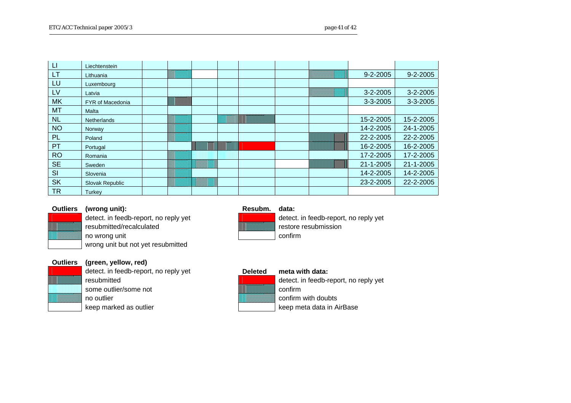| $\Box$    | Liechtenstein           |  |  |  |                |                |
|-----------|-------------------------|--|--|--|----------------|----------------|
| <b>LT</b> | Lithuania               |  |  |  | $9 - 2 - 2005$ | $9 - 2 - 2005$ |
| LU        | Luxembourg              |  |  |  |                |                |
| LV        | Latvia                  |  |  |  | $3 - 2 - 2005$ | $3 - 2 - 2005$ |
| <b>MK</b> | <b>FYR of Macedonia</b> |  |  |  | 3-3-2005       | 3-3-2005       |
| <b>MT</b> | Malta                   |  |  |  |                |                |
| <b>NL</b> | Netherlands             |  |  |  | 15-2-2005      | 15-2-2005      |
| <b>NO</b> | Norway                  |  |  |  | 14-2-2005      | 24-1-2005      |
| PL        | Poland                  |  |  |  | 22-2-2005      | 22-2-2005      |
| PT        | Portugal                |  |  |  | 16-2-2005      | 16-2-2005      |
| <b>RO</b> | Romania                 |  |  |  | 17-2-2005      | 17-2-2005      |
| <b>SE</b> | Sweden                  |  |  |  | 21-1-2005      | 21-1-2005      |
| SI        | Slovenia                |  |  |  | 14-2-2005      | 14-2-2005      |
| <b>SK</b> | Slovak Republic         |  |  |  | 23-2-2005      | 22-2-2005      |
| <b>TR</b> | Turkey                  |  |  |  |                |                |



#### **Outliers (wrong unit): Resubm. data:**

resubmitted/recalculated restore resubmission no wrong unit confirm wrong unit but not yet resubmitted

#### **Outliers (green, yellow, red)**

detect. in feedb-report, no reply yet **Deleted meta with data:**<br>
resubmitted **contains the container of the container** detect. in feedb-re some outlier/some not confirm no outlier confirm with doubts and confirm with doubts keep marked as outlier and the state of the state of the keep meta data in AirBase



detect. in feedb-report, no reply yet detect. in feedb-report, no reply yet

detect. in feedb-report, no reply yet